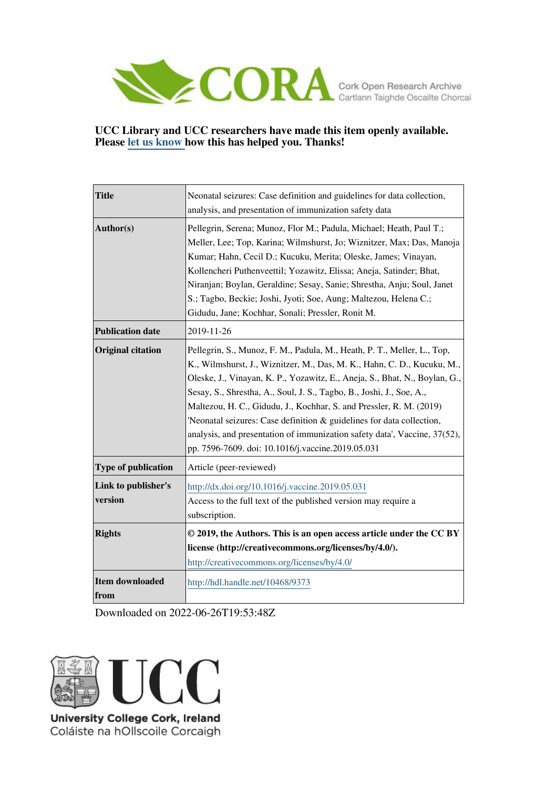

# **UCC Library and UCC researchers have made this item openly available. Please [let us know h](https://libguides.ucc.ie/openaccess/impact?suffix=9373&title=Neonatal seizures: Case definition and guidelines for data collection, analysis, and presentation of immunization safety data)ow this has helped you. Thanks!**

| <b>Title</b>                   | Neonatal seizures: Case definition and guidelines for data collection,<br>analysis, and presentation of immunization safety data                                                                                                                                                                                                                                                                                                                                                                                                                                                           |  |  |
|--------------------------------|--------------------------------------------------------------------------------------------------------------------------------------------------------------------------------------------------------------------------------------------------------------------------------------------------------------------------------------------------------------------------------------------------------------------------------------------------------------------------------------------------------------------------------------------------------------------------------------------|--|--|
| Author(s)                      | Pellegrin, Serena; Munoz, Flor M.; Padula, Michael; Heath, Paul T.;<br>Meller, Lee; Top, Karina; Wilmshurst, Jo; Wiznitzer, Max; Das, Manoja<br>Kumar; Hahn, Cecil D.; Kucuku, Merita; Oleske, James; Vinayan,<br>Kollencheri Puthenveettil; Yozawitz, Elissa; Aneja, Satinder; Bhat,<br>Niranjan; Boylan, Geraldine; Sesay, Sanie; Shrestha, Anju; Soul, Janet<br>S.; Tagbo, Beckie; Joshi, Jyoti; Soe, Aung; Maltezou, Helena C.;<br>Gidudu, Jane; Kochhar, Sonali; Pressler, Ronit M.                                                                                                   |  |  |
| <b>Publication date</b>        | 2019-11-26                                                                                                                                                                                                                                                                                                                                                                                                                                                                                                                                                                                 |  |  |
| <b>Original citation</b>       | Pellegrin, S., Munoz, F. M., Padula, M., Heath, P. T., Meller, L., Top,<br>K., Wilmshurst, J., Wiznitzer, M., Das, M. K., Hahn, C. D., Kucuku, M.,<br>Oleske, J., Vinayan, K. P., Yozawitz, E., Aneja, S., Bhat, N., Boylan, G.,<br>Sesay, S., Shrestha, A., Soul, J. S., Tagbo, B., Joshi, J., Soe, A.,<br>Maltezou, H. C., Gidudu, J., Kochhar, S. and Pressler, R. M. (2019)<br>'Neonatal seizures: Case definition & guidelines for data collection,<br>analysis, and presentation of immunization safety data', Vaccine, 37(52),<br>pp. 7596-7609. doi: 10.1016/j.vaccine.2019.05.031 |  |  |
| Type of publication            | Article (peer-reviewed)                                                                                                                                                                                                                                                                                                                                                                                                                                                                                                                                                                    |  |  |
| Link to publisher's<br>version | http://dx.doi.org/10.1016/j.vaccine.2019.05.031<br>Access to the full text of the published version may require a<br>subscription.                                                                                                                                                                                                                                                                                                                                                                                                                                                         |  |  |
| <b>Rights</b>                  | © 2019, the Authors. This is an open access article under the CC BY<br>license (http://creativecommons.org/licenses/by/4.0/).<br>http://creativecommons.org/licenses/by/4.0/                                                                                                                                                                                                                                                                                                                                                                                                               |  |  |
| <b>Item downloaded</b><br>from | http://hdl.handle.net/10468/9373                                                                                                                                                                                                                                                                                                                                                                                                                                                                                                                                                           |  |  |

Downloaded on 2022-06-26T19:53:48Z



Coláiste na hOllscoile Corcaigh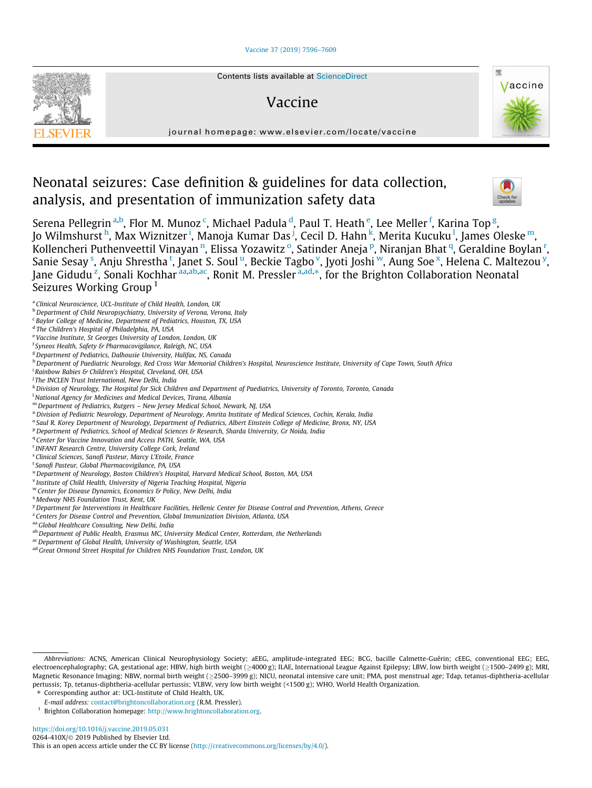# [Vaccine 37 \(2019\) 7596–7609](https://doi.org/10.1016/j.vaccine.2019.05.031)



# Vaccine



journal homepage: [www.elsevier.com/locate/vaccine](http://www.elsevier.com/locate/vaccine)

# Neonatal seizures: Case definition & guidelines for data collection, analysis, and presentation of immunization safety data



Serena Pellegrin <sup>a,b</sup>, Flor M. Munoz <sup>c</sup>, Michael Padula <sup>d</sup>, Paul T. Heath <sup>e</sup>, Lee Meller <sup>f</sup>, Karina Top <sup>g</sup>, Jo Wilmshurst <sup>h</sup>, Max Wiznitzer <sup>i</sup>, Manoja Kumar Das <sup>j</sup>, Cecil D. Hahn <sup>k</sup>, Merita Kucuku <sup>l</sup>, James Oleske <sup>m</sup>, Kollencheri Puthenveettil Vinayan <sup>n</sup>, Elissa Yozawitz <sup>o</sup>, Satinder Aneja <sup>p</sup>, Niranjan Bhat <sup>q</sup>, Geraldine Boylan <sup>r</sup>, Sanie Sesay <sup>s</sup>, Anju Shrestha t, Janet S. Soul <sup>u</sup>, Beckie Tagbo <sup>v</sup>, Jyoti Joshi <sup>w</sup>, Aung Soe <sup>x</sup>, Helena C. Maltezou <sup>y</sup>, Jane Gidudu<sup>z</sup>, Sonali Kochhar <sup>aa,ab,ac</sup>, Ronit M. Pressler <sup>a,ad,</sup>\*, for the Brighton Collaboration Neonatal Seizures Working Group<sup>1</sup>

- **b** Department of Child Neuropsychiatry, University of Verona, Verona, Italy
- <sup>c</sup> Baylor College of Medicine, Department of Pediatrics, Houston, TX, USA
- <sup>d</sup> The Children's Hospital of Philadelphia, PA, USA
- <sup>e</sup> Vaccine Institute, St Georges University of London, London, UK
- <sup>f</sup> Syneos Health, Safety & Pharmacovigilance, Raleigh, NC, USA
- <sup>g</sup> Department of Pediatrics, Dalhousie University, Halifax, NS, Canada
- h Department of Paediatric Neurology, Red Cross War Memorial Children's Hospital, Neuroscience Institute, University of Cape Town, South Africa
- <sup>i</sup> Rainbow Babies & Children's Hospital, Cleveland, OH, USA
- <sup>i</sup> The INCLEN Trust International, New Delhi, India
- k Division of Neurology, The Hospital for Sick Children and Department of Paediatrics, University of Toronto, Toronto, Canada
- l National Agency for Medicines and Medical Devices, Tirana, Albania
- <sup>m</sup> Department of Pediatrics, Rutgers New Jersey Medical School, Newark, NJ, USA
- n Division of Pediatric Neurology, Department of Neurology, Amrita Institute of Medical Sciences, Cochin, Kerala, India
- <sup>o</sup> Saul R. Korey Department of Neurology, Department of Pediatrics, Albert Einstein College of Medicine, Bronx, NY, USA
- P Department of Pediatrics, School of Medical Sciences & Research, Sharda University, Gr Noida, India
- <sup>q</sup> Center for Vaccine Innovation and Access PATH, Seattle, WA, USA
- r INFANT Research Centre, University College Cork, Ireland
- <sup>s</sup> Clinical Sciences, Sanofi Pasteur, Marcy L'Etoile, France
- <sup>t</sup> Sanofi Pasteur, Global Pharmacovigilance, PA, USA
- <sup>u</sup> Department of Neurology, Boston Children's Hospital, Harvard Medical School, Boston, MA, USA
- <sup>v</sup> Institute of Child Health, University of Nigeria Teaching Hospital, Nigeria
- <sup>w</sup> Center for Disease Dynamics, Economics & Policy, New Delhi, India
- <sup>x</sup> Medway NHS Foundation Trust, Kent, UK
- <sup>y</sup>Department for Interventions in Healthcare Facilities, Hellenic Center for Disease Control and Prevention, Athens, Greece
- <sup>z</sup> Centers for Disease Control and Prevention, Global Immunization Division, Atlanta, USA
- aa Global Healthcare Consulting, New Delhi, India
- ab Department of Public Health, Erasmus MC, University Medical Center, Rotterdam, the Netherlands
- ac Department of Global Health, University of Washington, Seattle, USA
- ad Great Ormond Street Hospital for Children NHS Foundation Trust, London, UK

<sup>a</sup> Clinical Neuroscience, UCL-Institute of Child Health, London, UK

Abbreviations: ACNS, American Clinical Neurophysiology Society; aEEG, amplitude-integrated EEG; BCG, bacille Calmette-Guérin; cEEG, conventional EEG; EEG, electroencephalography; GA, gestational age; HBW, high birth weight ( $\geq$ 4000 g); ILAE, International League Against Epilepsy; LBW, low birth weight ( $\geq$ 1500–2499 g); MRI, Magnetic Resonance Imaging; NBW, normal birth weight (≥2500-3999 g); NICU, neonatal intensive care unit; PMA, post menstrual age; Tdap, tetanus-diphtheria-acellular pertussis; Tp, tetanus-diphtheria-acellular pertussis; VLBW, very low birth weight (<1500 g); WHO, World Health Organization. ⇑ Corresponding author at: UCL-Institute of Child Health, UK.

E-mail address: [contact@brightoncollaboration.org](mailto:contact@brightoncollaboration.org) (R.M. Pressler).

<sup>&</sup>lt;sup>1</sup> Brighton Collaboration homepage: <http://www.brightoncollaboration.org>.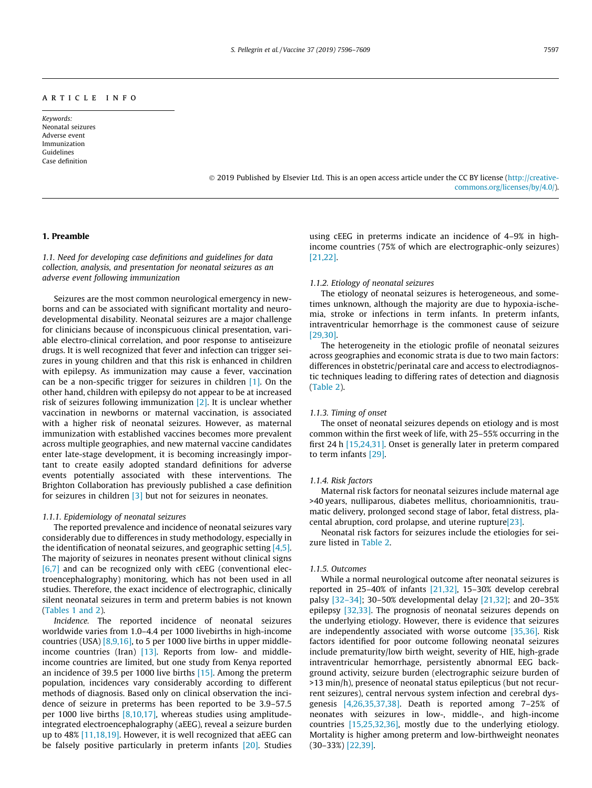# article info

Keywords: Neonatal seizures Adverse event Immunization Guidelines Case definition

> 2019 Published by Elsevier Ltd. This is an open access article under the CC BY license [\(http://creative](http://creativecommons.org/licenses/by/4.0/)[commons.org/licenses/by/4.0/](http://creativecommons.org/licenses/by/4.0/)).

# 1. Preamble

1.1. Need for developing case definitions and guidelines for data collection, analysis, and presentation for neonatal seizures as an adverse event following immunization

Seizures are the most common neurological emergency in newborns and can be associated with significant mortality and neurodevelopmental disability. Neonatal seizures are a major challenge for clinicians because of inconspicuous clinical presentation, variable electro-clinical correlation, and poor response to antiseizure drugs. It is well recognized that fever and infection can trigger seizures in young children and that this risk is enhanced in children with epilepsy. As immunization may cause a fever, vaccination can be a non-specific trigger for seizures in children [\[1\].](#page-12-0) On the other hand, children with epilepsy do not appear to be at increased risk of seizures following immunization [\[2\].](#page-12-0) It is unclear whether vaccination in newborns or maternal vaccination, is associated with a higher risk of neonatal seizures. However, as maternal immunization with established vaccines becomes more prevalent across multiple geographies, and new maternal vaccine candidates enter late-stage development, it is becoming increasingly important to create easily adopted standard definitions for adverse events potentially associated with these interventions. The Brighton Collaboration has previously published a case definition for seizures in children [\[3\]](#page-12-0) but not for seizures in neonates.

# 1.1.1. Epidemiology of neonatal seizures

The reported prevalence and incidence of neonatal seizures vary considerably due to differences in study methodology, especially in the identification of neonatal seizures, and geographic setting [\[4,5\].](#page-12-0) The majority of seizures in neonates present without clinical signs  $[6,7]$  and can be recognized only with cEEG (conventional electroencephalography) monitoring, which has not been used in all studies. Therefore, the exact incidence of electrographic, clinically silent neonatal seizures in term and preterm babies is not known ([Tables 1 and 2](#page-3-0)).

Incidence. The reported incidence of neonatal seizures worldwide varies from 1.0–4.4 per 1000 livebirths in high-income countries (USA) [\[8,9,16\]](#page-12-0), to 5 per 1000 live births in upper middleincome countries (Iran) [\[13\].](#page-12-0) Reports from low- and middleincome countries are limited, but one study from Kenya reported an incidence of 39.5 per 1000 live births [\[15\]](#page-12-0). Among the preterm population, incidences vary considerably according to different methods of diagnosis. Based only on clinical observation the incidence of seizure in preterms has been reported to be 3.9–57.5 per 1000 live births  $[8,10,17]$ , whereas studies using amplitudeintegrated electroencephalography (aEEG), reveal a seizure burden up to 48% [\[11,18,19\]](#page-12-0). However, it is well recognized that aEEG can be falsely positive particularly in preterm infants [\[20\].](#page-12-0) Studies

using cEEG in preterms indicate an incidence of 4–9% in highincome countries (75% of which are electrographic-only seizures) [\[21,22\]](#page-12-0).

# 1.1.2. Etiology of neonatal seizures

The etiology of neonatal seizures is heterogeneous, and sometimes unknown, although the majority are due to hypoxia-ischemia, stroke or infections in term infants. In preterm infants, intraventricular hemorrhage is the commonest cause of seizure [\[29,30\]](#page-13-0).

The heterogeneity in the etiologic profile of neonatal seizures across geographies and economic strata is due to two main factors: differences in obstetric/perinatal care and access to electrodiagnostic techniques leading to differing rates of detection and diagnosis ([Table 2](#page-3-0)).

# 1.1.3. Timing of onset

The onset of neonatal seizures depends on etiology and is most common within the first week of life, with 25–55% occurring in the first 24 h [\[15,24,31\].](#page-12-0) Onset is generally later in preterm compared to term infants [\[29\].](#page-13-0)

# 1.1.4. Risk factors

Maternal risk factors for neonatal seizures include maternal age >40 years, nulliparous, diabetes mellitus, chorioamnionitis, traumatic delivery, prolonged second stage of labor, fetal distress, placental abruption, cord prolapse, and uterine ruptur[e\[23\].](#page-12-0)

Neonatal risk factors for seizures include the etiologies for seizure listed in [Table 2.](#page-3-0)

# 1.1.5. Outcomes

While a normal neurological outcome after neonatal seizures is reported in 25–40% of infants [\[21,32\],](#page-12-0) 15–30% develop cerebral palsy [\[32–34\];](#page-13-0) 30–50% developmental delay [\[21,32\];](#page-12-0) and 20–35% epilepsy [\[32,33\]](#page-13-0). The prognosis of neonatal seizures depends on the underlying etiology. However, there is evidence that seizures are independently associated with worse outcome [\[35,36\].](#page-13-0) Risk factors identified for poor outcome following neonatal seizures include prematurity/low birth weight, severity of HIE, high-grade intraventricular hemorrhage, persistently abnormal EEG background activity, seizure burden (electrographic seizure burden of >13 min/h), presence of neonatal status epilepticus (but not recurrent seizures), central nervous system infection and cerebral dysgenesis [\[4,26,35,37,38\]](#page-12-0). Death is reported among 7–25% of neonates with seizures in low-, middle-, and high-income countries [\[15,25,32,36\],](#page-12-0) mostly due to the underlying etiology. Mortality is higher among preterm and low-birthweight neonates (30–33%) [\[22,39\].](#page-12-0)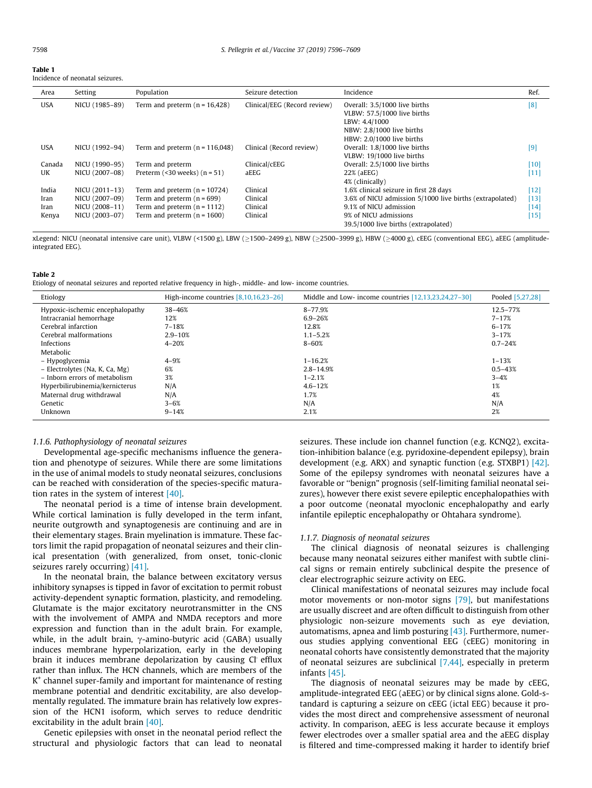<span id="page-3-0"></span>

| Table |
|-------|
|-------|

Incidence of neonatal seizures.

| Area       | Setting        | Population                            | Seizure detection            | Incidence                                                | Ref.   |
|------------|----------------|---------------------------------------|------------------------------|----------------------------------------------------------|--------|
| <b>USA</b> | NICU (1985-89) | Term and preterm $(n = 16,428)$       | Clinical/EEG (Record review) | Overall: 3.5/1000 live births                            | [8]    |
|            |                |                                       |                              | VLBW: 57.5/1000 live births                              |        |
|            |                |                                       |                              | LBW: 4.4/1000                                            |        |
|            |                |                                       |                              | NBW: 2.8/1000 live births                                |        |
|            |                |                                       |                              | HBW: 2.0/1000 live births                                |        |
| USA        | NICU (1992-94) | Term and preterm $(n = 116,048)$      | Clinical (Record review)     | Overall: 1.8/1000 live births                            | [9]    |
|            |                |                                       |                              | VLBW: 19/1000 live births                                |        |
| Canada     | NICU (1990-95) | Term and preterm                      | Clinical/cEEG                | Overall: 2.5/1000 live births                            | $[10]$ |
| UK         | NICU (2007-08) | Preterm $($ < 30 weeks $)$ $(n = 51)$ | aEEG                         | 22% (aEEG)                                               | [11]   |
|            |                |                                       |                              | 4% (clinically)                                          |        |
| India      | NICU (2011-13) | Term and preterm $(n = 10724)$        | Clinical                     | 1.6% clinical seizure in first 28 days                   | $[12]$ |
| Iran       | NICU (2007-09) | Term and preterm $(n = 699)$          | Clinical                     | 3.6% of NICU admission 5/1000 live births (extrapolated) | $[13]$ |
| Iran       | NICU (2008-11) | Term and preterm $(n = 1112)$         | Clinical                     | 9.1% of NICU admission                                   | $[14]$ |
| Kenya      | NICU (2003-07) | Term and preterm $(n = 1600)$         | Clinical                     | 9% of NICU admissions                                    | $[15]$ |
|            |                |                                       |                              | 39.5/1000 live births (extrapolated)                     |        |

xLegend: NICU (neonatal intensive care unit), VLBW (<1500 g), LBW (≥1500-2499 g), NBW (≥2500-3999 g), HBW (≥4000 g), cEEG (conventional EEG), aEEG (amplitudeintegrated EEG).

# Table 2

Etiology of neonatal seizures and reported relative frequency in high-, middle- and low- income countries.

| Etiology                        | High-income countries $[8,10,16,23-26]$ | Middle and Low- income countries [12,13,23,24,27-30] | Pooled [5,27,28] |
|---------------------------------|-----------------------------------------|------------------------------------------------------|------------------|
| Hypoxic-ischemic encephalopathy | 38-46%                                  | 8-77.9%                                              | 12.5-77%         |
| Intracranial hemorrhage         | 12%                                     | $6.9 - 26%$                                          | $7 - 17%$        |
| Cerebral infarction             | $7 - 18%$                               | 12.8%                                                | $6 - 17%$        |
| Cerebral malformations          | $2.9 - 10%$                             | $1.1 - 5.2%$                                         | $3 - 17%$        |
| Infections                      | $4 - 20%$                               | $8 - 60%$                                            | $0.7 - 24%$      |
| Metabolic                       |                                         |                                                      |                  |
| - Hypoglycemia                  | $4 - 9%$                                | $1 - 16.2%$                                          | $1 - 13%$        |
| - Electrolytes (Na, K, Ca, Mg)  | 6%                                      | $2.8 - 14.9%$                                        | $0.5 - 43%$      |
| - Inborn errors of metabolism   | 3%                                      | $1 - 2.1%$                                           | $3 - 4%$         |
| Hyperbilirubinemia/kernicterus  | N/A                                     | $4.6 - 12%$                                          | 1%               |
| Maternal drug withdrawal        | N/A                                     | 1.7%                                                 | 4%               |
| Genetic                         | $3 - 6%$                                | N/A                                                  | N/A              |
| Unknown                         | $9 - 14%$                               | 2.1%                                                 | 2%               |

# 1.1.6. Pathophysiology of neonatal seizures

Developmental age-specific mechanisms influence the generation and phenotype of seizures. While there are some limitations in the use of animal models to study neonatal seizures, conclusions can be reached with consideration of the species-specific maturation rates in the system of interest [\[40\]](#page-13-0).

The neonatal period is a time of intense brain development. While cortical lamination is fully developed in the term infant, neurite outgrowth and synaptogenesis are continuing and are in their elementary stages. Brain myelination is immature. These factors limit the rapid propagation of neonatal seizures and their clinical presentation (with generalized, from onset, tonic-clonic seizures rarely occurring) [\[41\].](#page-13-0)

In the neonatal brain, the balance between excitatory versus inhibitory synapses is tipped in favor of excitation to permit robust activity-dependent synaptic formation, plasticity, and remodeling. Glutamate is the major excitatory neurotransmitter in the CNS with the involvement of AMPA and NMDA receptors and more expression and function than in the adult brain. For example, while, in the adult brain,  $\gamma$ -amino-butyric acid (GABA) usually induces membrane hyperpolarization, early in the developing brain it induces membrane depolarization by causing Cl efflux rather than influx. The HCN channels, which are members of the  $K<sup>+</sup>$  channel super-family and important for maintenance of resting membrane potential and dendritic excitability, are also developmentally regulated. The immature brain has relatively low expression of the HCN1 isoform, which serves to reduce dendritic excitability in the adult brain [\[40\].](#page-13-0)

Genetic epilepsies with onset in the neonatal period reflect the structural and physiologic factors that can lead to neonatal seizures. These include ion channel function (e.g. KCNQ2), excitation-inhibition balance (e.g. pyridoxine-dependent epilepsy), brain development (e.g. ARX) and synaptic function (e.g. STXBP1) [\[42\].](#page-13-0) Some of the epilepsy syndromes with neonatal seizures have a favorable or ''benign" prognosis (self-limiting familial neonatal seizures), however there exist severe epileptic encephalopathies with a poor outcome (neonatal myoclonic encephalopathy and early infantile epileptic encephalopathy or Ohtahara syndrome).

#### 1.1.7. Diagnosis of neonatal seizures

The clinical diagnosis of neonatal seizures is challenging because many neonatal seizures either manifest with subtle clinical signs or remain entirely subclinical despite the presence of clear electrographic seizure activity on EEG.

Clinical manifestations of neonatal seizures may include focal motor movements or non-motor signs [\[79\],](#page-13-0) but manifestations are usually discreet and are often difficult to distinguish from other physiologic non-seizure movements such as eye deviation, automatisms, apnea and limb posturing  $[43]$ . Furthermore, numerous studies applying conventional EEG (cEEG) monitoring in neonatal cohorts have consistently demonstrated that the majority of neonatal seizures are subclinical  $[7,44]$ , especially in preterm infants [\[45\].](#page-13-0)

The diagnosis of neonatal seizures may be made by cEEG, amplitude-integrated EEG (aEEG) or by clinical signs alone. Gold-standard is capturing a seizure on cEEG (ictal EEG) because it provides the most direct and comprehensive assessment of neuronal activity. In comparison, aEEG is less accurate because it employs fewer electrodes over a smaller spatial area and the aEEG display is filtered and time-compressed making it harder to identify brief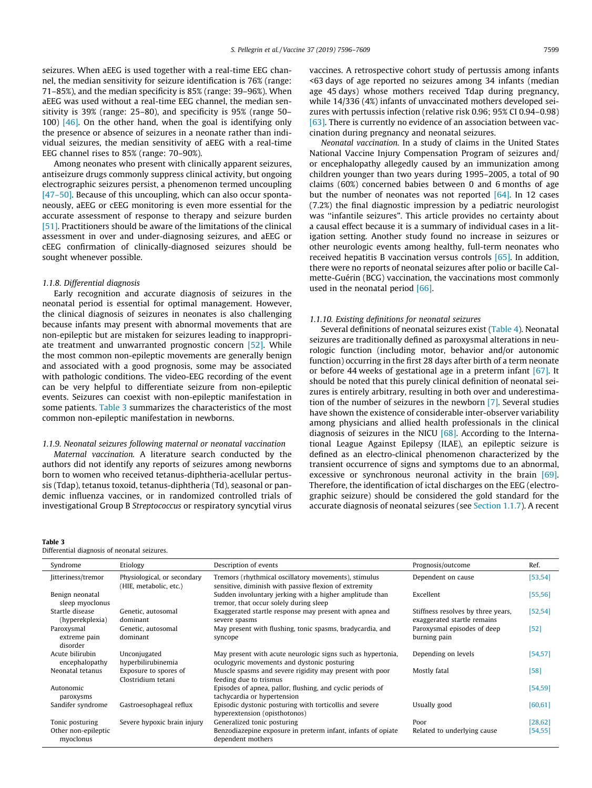<span id="page-4-0"></span>seizures. When aEEG is used together with a real-time EEG channel, the median sensitivity for seizure identification is 76% (range: 71–85%), and the median specificity is 85% (range: 39–96%). When aEEG was used without a real-time EEG channel, the median sensitivity is 39% (range: 25–80), and specificity is 95% (range 50– 100) [\[46\].](#page-13-0) On the other hand, when the goal is identifying only the presence or absence of seizures in a neonate rather than individual seizures, the median sensitivity of aEEG with a real-time EEG channel rises to 85% (range: 70–90%).

Among neonates who present with clinically apparent seizures, antiseizure drugs commonly suppress clinical activity, but ongoing electrographic seizures persist, a phenomenon termed uncoupling [\[47–50\]](#page-13-0). Because of this uncoupling, which can also occur spontaneously, aEEG or cEEG monitoring is even more essential for the accurate assessment of response to therapy and seizure burden [\[51\].](#page-13-0) Practitioners should be aware of the limitations of the clinical assessment in over and under-diagnosing seizures, and aEEG or cEEG confirmation of clinically-diagnosed seizures should be sought whenever possible.

# 1.1.8. Differential diagnosis

Early recognition and accurate diagnosis of seizures in the neonatal period is essential for optimal management. However, the clinical diagnosis of seizures in neonates is also challenging because infants may present with abnormal movements that are non-epileptic but are mistaken for seizures leading to inappropriate treatment and unwarranted prognostic concern [\[52\].](#page-13-0) While the most common non-epileptic movements are generally benign and associated with a good prognosis, some may be associated with pathologic conditions. The video-EEG recording of the event can be very helpful to differentiate seizure from non-epileptic events. Seizures can coexist with non-epileptic manifestation in some patients. Table 3 summarizes the characteristics of the most common non-epileptic manifestation in newborns.

# 1.1.9. Neonatal seizures following maternal or neonatal vaccination

Maternal vaccination. A literature search conducted by the authors did not identify any reports of seizures among newborns born to women who received tetanus-diphtheria-acellular pertussis (Tdap), tetanus toxoid, tetanus-diphtheria (Td), seasonal or pandemic influenza vaccines, or in randomized controlled trials of investigational Group B Streptococcus or respiratory syncytial virus

#### Table 3

Differential diagnosis of neonatal seizures.

vaccines. A retrospective cohort study of pertussis among infants <63 days of age reported no seizures among 34 infants (median age 45 days) whose mothers received Tdap during pregnancy, while 14/336 (4%) infants of unvaccinated mothers developed seizures with pertussis infection (relative risk 0.96; 95% CI 0.94–0.98) [\[63\]](#page-13-0). There is currently no evidence of an association between vaccination during pregnancy and neonatal seizures.

Neonatal vaccination. In a study of claims in the United States National Vaccine Injury Compensation Program of seizures and/ or encephalopathy allegedly caused by an immunization among children younger than two years during 1995–2005, a total of 90 claims (60%) concerned babies between 0 and 6 months of age but the number of neonates was not reported  $[64]$ . In 12 cases (7.2%) the final diagnostic impression by a pediatric neurologist was ''infantile seizures". This article provides no certainty about a causal effect because it is a summary of individual cases in a litigation setting. Another study found no increase in seizures or other neurologic events among healthy, full-term neonates who received hepatitis B vaccination versus controls [\[65\]](#page-13-0). In addition, there were no reports of neonatal seizures after polio or bacille Calmette-Guérin (BCG) vaccination, the vaccinations most commonly used in the neonatal period [\[66\].](#page-13-0)

# 1.1.10. Existing definitions for neonatal seizures

Several definitions of neonatal seizures exist ([Table 4\)](#page-5-0). Neonatal seizures are traditionally defined as paroxysmal alterations in neurologic function (including motor, behavior and/or autonomic function) occurring in the first 28 days after birth of a term neonate or before 44 weeks of gestational age in a preterm infant [\[67\].](#page-13-0) It should be noted that this purely clinical definition of neonatal seizures is entirely arbitrary, resulting in both over and underestimation of the number of seizures in the newborn [\[7\]](#page-12-0). Several studies have shown the existence of considerable inter-observer variability among physicians and allied health professionals in the clinical diagnosis of seizures in the NICU  $[68]$ . According to the International League Against Epilepsy (ILAE), an epileptic seizure is defined as an electro-clinical phenomenon characterized by the transient occurrence of signs and symptoms due to an abnormal, excessive or synchronous neuronal activity in the brain [\[69\].](#page-13-0) Therefore, the identification of ictal discharges on the EEG (electrographic seizure) should be considered the gold standard for the accurate diagnosis of neonatal seizures (see [Section 1.1.7](#page-3-0)). A recent

| Syndrome                               | Etiology                                              | Description of events                                                                                         | Prognosis/outcome                                                 | Ref.       |
|----------------------------------------|-------------------------------------------------------|---------------------------------------------------------------------------------------------------------------|-------------------------------------------------------------------|------------|
| Jitteriness/tremor                     | Physiological, or secondary<br>(HIE, metabolic, etc.) | Tremors (rhythmical oscillatory movements), stimulus<br>sensitive, diminish with passive flexion of extremity | Dependent on cause                                                | [53, 54]   |
| Benign neonatal<br>sleep myoclonus     |                                                       | Sudden involuntary jerking with a higher amplitude than<br>tremor, that occur solely during sleep             | Excellent                                                         | [55, 56]   |
| Startle disease<br>(hyperekplexia)     | Genetic, autosomal<br>dominant                        | Exaggerated startle response may present with apnea and<br>severe spasms                                      | Stiffness resolves by three years,<br>exaggerated startle remains | [52, 54]   |
| Paroxysmal<br>extreme pain<br>disorder | Genetic, autosomal<br>dominant                        | May present with flushing, tonic spasms, bradycardia, and<br>syncope                                          | Paroxysmal episodes of deep<br>burning pain                       | $[52]$     |
| Acute bilirubin<br>encephalopathy      | Unconjugated<br>hyperbilirubinemia                    | May present with acute neurologic signs such as hypertonia,<br>oculogyric movements and dystonic posturing    | Depending on levels                                               | $[54, 57]$ |
| Neonatal tetanus                       | Exposure to spores of<br>Clostridium tetani           | Muscle spasms and severe rigidity may present with poor<br>feeding due to trismus                             | Mostly fatal                                                      | $[58]$     |
| Autonomic<br>paroxysms                 |                                                       | Episodes of apnea, pallor, flushing, and cyclic periods of<br>tachycardia or hypertension                     |                                                                   | [54,59]    |
| Sandifer syndrome                      | Gastroesophageal reflux                               | Episodic dystonic posturing with torticollis and severe<br>hyperextension (opisthotonos)                      | Usually good                                                      | [60, 61]   |
| Tonic posturing                        | Severe hypoxic brain injury                           | Generalized tonic posturing                                                                                   | Poor                                                              | [28, 62]   |
| Other non-epileptic<br>myoclonus       |                                                       | Benzodiazepine exposure in preterm infant, infants of opiate<br>dependent mothers                             | Related to underlying cause                                       | $[54, 55]$ |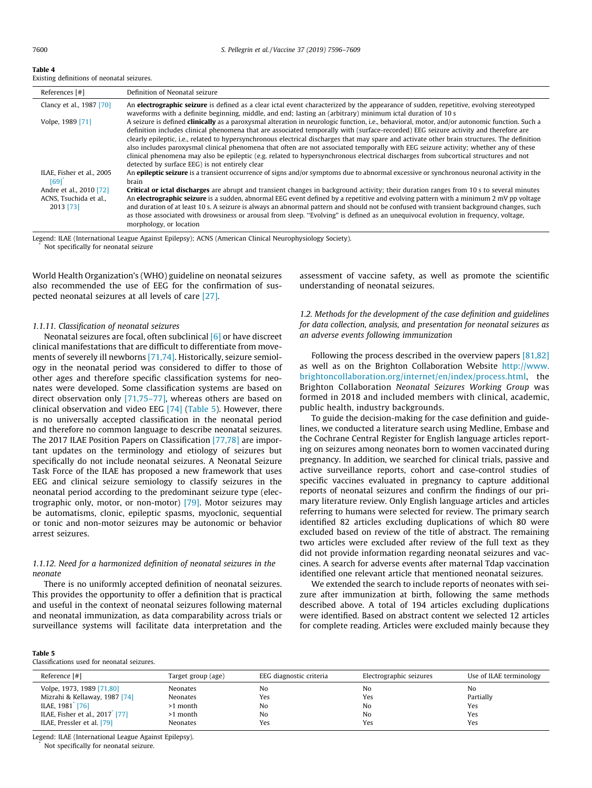#### <span id="page-5-0"></span>Table 4

Existing definitions of neonatal seizures.

| References [#]                                                 | Definition of Neonatal seizure                                                                                                                                                                                                                                                                                                                                                                                                                                                                                                                                                                                                                                                                                                                                                  |
|----------------------------------------------------------------|---------------------------------------------------------------------------------------------------------------------------------------------------------------------------------------------------------------------------------------------------------------------------------------------------------------------------------------------------------------------------------------------------------------------------------------------------------------------------------------------------------------------------------------------------------------------------------------------------------------------------------------------------------------------------------------------------------------------------------------------------------------------------------|
| Clancy et al., 1987 [70]                                       | An <b>electrographic seizure</b> is defined as a clear ictal event characterized by the appearance of sudden, repetitive, evolving stereotyped<br>waveforms with a definite beginning, middle, and end; lasting an (arbitrary) minimum ictal duration of 10 s                                                                                                                                                                                                                                                                                                                                                                                                                                                                                                                   |
| Volpe, 1989 [71]                                               | A seizure is defined <b>clinically</b> as a paroxysmal alteration in neurologic function, i.e., behavioral, motor, and/or autonomic function. Such a<br>definition includes clinical phenomena that are associated temporally with (surface-recorded) EEG seizure activity and therefore are<br>clearly epileptic, i.e., related to hypersynchronous electrical discharges that may spare and activate other brain structures. The definition<br>also includes paroxysmal clinical phenomena that often are not associated temporally with EEG seizure activity; whether any of these<br>clinical phenomena may also be epileptic (e.g. related to hypersynchronous electrical discharges from subcortical structures and not<br>detected by surface EEG) is not entirely clear |
| ILAE, Fisher et al., 2005<br>[69]                              | An <b>epileptic seizure</b> is a transient occurrence of signs and/or symptoms due to abnormal excessive or synchronous neuronal activity in the<br>brain                                                                                                                                                                                                                                                                                                                                                                                                                                                                                                                                                                                                                       |
| Andre et al., 2010 [72]<br>ACNS, Tsuchida et al.,<br>2013 [73] | <b>Critical or ictal discharges</b> are abrupt and transient changes in background activity; their duration ranges from 10 s to several minutes<br>An <b>electrographic seizure</b> is a sudden, abnormal EEG event defined by a repetitive and evolving pattern with a minimum 2 mV pp voltage<br>and duration of at least 10 s. A seizure is always an abnormal pattern and should not be confused with transient background changes, such<br>as those associated with drowsiness or arousal from sleep. "Evolving" is defined as an unequivocal evolution in frequency, voltage,<br>morphology, or location                                                                                                                                                                  |

Legend: ILAE (International League Against Epilepsy); ACNS (American Clinical Neurophysiology Society). Not specifically for neonatal seizure

World Health Organization's (WHO) guideline on neonatal seizures also recommended the use of EEG for the confirmation of suspected neonatal seizures at all levels of care [\[27\]](#page-12-0).

# 1.1.11. Classification of neonatal seizures

Neonatal seizures are focal, often subclinical [\[6\]](#page-12-0) or have discreet clinical manifestations that are difficult to differentiate from movements of severely ill newborns [\[71,74\].](#page-13-0) Historically, seizure semiology in the neonatal period was considered to differ to those of other ages and therefore specific classification systems for neonates were developed. Some classification systems are based on direct observation only [\[71,75–77\],](#page-13-0) whereas others are based on clinical observation and video EEG [\[74\]](#page-13-0) (Table 5). However, there is no universally accepted classification in the neonatal period and therefore no common language to describe neonatal seizures. The 2017 ILAE Position Papers on Classification [\[77,78\]](#page-13-0) are important updates on the terminology and etiology of seizures but specifically do not include neonatal seizures. A Neonatal Seizure Task Force of the ILAE has proposed a new framework that uses EEG and clinical seizure semiology to classify seizures in the neonatal period according to the predominant seizure type (electrographic only, motor, or non-motor) [\[79\].](#page-13-0) Motor seizures may be automatisms, clonic, epileptic spasms, myoclonic, sequential or tonic and non-motor seizures may be autonomic or behavior arrest seizures.

# 1.1.12. Need for a harmonized definition of neonatal seizures in the neonate

There is no uniformly accepted definition of neonatal seizures. This provides the opportunity to offer a definition that is practical and useful in the context of neonatal seizures following maternal and neonatal immunization, as data comparability across trials or surveillance systems will facilitate data interpretation and the assessment of vaccine safety, as well as promote the scientific understanding of neonatal seizures.

1.2. Methods for the development of the case definition and guidelines for data collection, analysis, and presentation for neonatal seizures as an adverse events following immunization

Following the process described in the overview papers [\[81,82\]](#page-13-0) as well as on the Brighton Collaboration Website [http://www.](http://www.brightoncollaboration.org/internet/en/index/process.html) [brightoncollaboration.org/internet/en/index/process.html,](http://www.brightoncollaboration.org/internet/en/index/process.html) the Brighton Collaboration Neonatal Seizures Working Group was formed in 2018 and included members with clinical, academic, public health, industry backgrounds.

To guide the decision-making for the case definition and guidelines, we conducted a literature search using Medline, Embase and the Cochrane Central Register for English language articles reporting on seizures among neonates born to women vaccinated during pregnancy. In addition, we searched for clinical trials, passive and active surveillance reports, cohort and case-control studies of specific vaccines evaluated in pregnancy to capture additional reports of neonatal seizures and confirm the findings of our primary literature review. Only English language articles and articles referring to humans were selected for review. The primary search identified 82 articles excluding duplications of which 80 were excluded based on review of the title of abstract. The remaining two articles were excluded after review of the full text as they did not provide information regarding neonatal seizures and vaccines. A search for adverse events after maternal Tdap vaccination identified one relevant article that mentioned neonatal seizures.

We extended the search to include reports of neonates with seizure after immunization at birth, following the same methods described above. A total of 194 articles excluding duplications were identified. Based on abstract content we selected 12 articles for complete reading. Articles were excluded mainly because they

#### Table 5

Classifications used for neonatal seizures.

| Reference [#]                               | Target group (age) | EEG diagnostic criteria | Electrographic seizures | Use of ILAE terminology |
|---------------------------------------------|--------------------|-------------------------|-------------------------|-------------------------|
| Volpe, 1973, 1989 [71,80]                   | Neonates           | No                      | No                      | No                      |
| Mizrahi & Kellaway, 1987 [74]               | Neonates           | Yes                     | Yes                     | Partially               |
| ILAE, 1981 [76]                             | >1 month           | No                      | No                      | Yes                     |
| ILAE, Fisher et al., 2017 <sup>°</sup> [77] | >1 month           | No                      | No                      | Yes                     |
| ILAE, Pressler et al. [79]                  | Neonates           | Yes                     | Yes                     | Yes                     |

Legend: ILAE (International League Against Epilepsy).

Not specifically for neonatal seizure.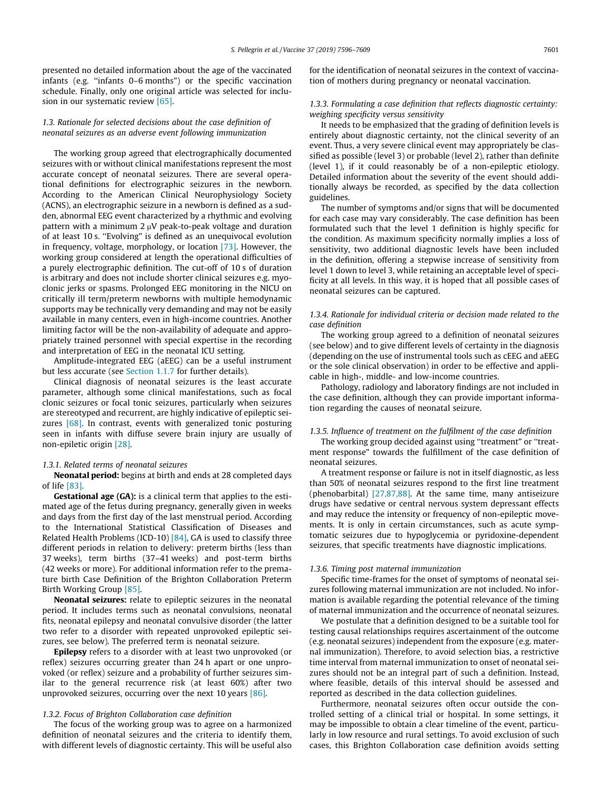presented no detailed information about the age of the vaccinated infants (e.g. ''infants 0–6 months") or the specific vaccination schedule. Finally, only one original article was selected for inclusion in our systematic review [\[65\]](#page-13-0).

# 1.3. Rationale for selected decisions about the case definition of neonatal seizures as an adverse event following immunization

The working group agreed that electrographically documented seizures with or without clinical manifestations represent the most accurate concept of neonatal seizures. There are several operational definitions for electrographic seizures in the newborn. According to the American Clinical Neurophysiology Society (ACNS), an electrographic seizure in a newborn is defined as a sudden, abnormal EEG event characterized by a rhythmic and evolving pattern with a minimum  $2 \mu V$  peak-to-peak voltage and duration of at least 10 s. ''Evolving" is defined as an unequivocal evolution in frequency, voltage, morphology, or location [\[73\].](#page-13-0) However, the working group considered at length the operational difficulties of a purely electrographic definition. The cut-off of 10 s of duration is arbitrary and does not include shorter clinical seizures e.g. myoclonic jerks or spasms. Prolonged EEG monitoring in the NICU on critically ill term/preterm newborns with multiple hemodynamic supports may be technically very demanding and may not be easily available in many centers, even in high-income countries. Another limiting factor will be the non-availability of adequate and appropriately trained personnel with special expertise in the recording and interpretation of EEG in the neonatal ICU setting.

Amplitude-integrated EEG (aEEG) can be a useful instrument but less accurate (see [Section 1.1.7](#page-3-0) for further details).

Clinical diagnosis of neonatal seizures is the least accurate parameter, although some clinical manifestations, such as focal clonic seizures or focal tonic seizures, particularly when seizures are stereotyped and recurrent, are highly indicative of epileptic sei-zures [\[68\]](#page-13-0). In contrast, events with generalized tonic posturing seen in infants with diffuse severe brain injury are usually of non-epiletic origin [\[28\]](#page-12-0).

## 1.3.1. Related terms of neonatal seizures

Neonatal period: begins at birth and ends at 28 completed days of life [\[83\].](#page-13-0)

Gestational age (GA): is a clinical term that applies to the estimated age of the fetus during pregnancy, generally given in weeks and days from the first day of the last menstrual period. According to the International Statistical Classification of Diseases and Related Health Problems (ICD-10) [\[84\],](#page-13-0) GA is used to classify three different periods in relation to delivery: preterm births (less than 37 weeks), term births (37–41 weeks) and post-term births (42 weeks or more). For additional information refer to the premature birth Case Definition of the Brighton Collaboration Preterm Birth Working Group [\[85\].](#page-13-0)

Neonatal seizures: relate to epileptic seizures in the neonatal period. It includes terms such as neonatal convulsions, neonatal fits, neonatal epilepsy and neonatal convulsive disorder (the latter two refer to a disorder with repeated unprovoked epileptic seizures, see below). The preferred term is neonatal seizure.

Epilepsy refers to a disorder with at least two unprovoked (or reflex) seizures occurring greater than 24 h apart or one unprovoked (or reflex) seizure and a probability of further seizures similar to the general recurrence risk (at least 60%) after two unprovoked seizures, occurring over the next 10 years [\[86\]](#page-13-0).

# 1.3.2. Focus of Brighton Collaboration case definition

The focus of the working group was to agree on a harmonized definition of neonatal seizures and the criteria to identify them, with different levels of diagnostic certainty. This will be useful also for the identification of neonatal seizures in the context of vaccination of mothers during pregnancy or neonatal vaccination.

# 1.3.3. Formulating a case definition that reflects diagnostic certainty: weighing specificity versus sensitivity

It needs to be emphasized that the grading of definition levels is entirely about diagnostic certainty, not the clinical severity of an event. Thus, a very severe clinical event may appropriately be classified as possible (level 3) or probable (level 2), rather than definite (level 1), if it could reasonably be of a non-epileptic etiology. Detailed information about the severity of the event should additionally always be recorded, as specified by the data collection guidelines.

The number of symptoms and/or signs that will be documented for each case may vary considerably. The case definition has been formulated such that the level 1 definition is highly specific for the condition. As maximum specificity normally implies a loss of sensitivity, two additional diagnostic levels have been included in the definition, offering a stepwise increase of sensitivity from level 1 down to level 3, while retaining an acceptable level of specificity at all levels. In this way, it is hoped that all possible cases of neonatal seizures can be captured.

# 1.3.4. Rationale for individual criteria or decision made related to the case definition

The working group agreed to a definition of neonatal seizures (see below) and to give different levels of certainty in the diagnosis (depending on the use of instrumental tools such as cEEG and aEEG or the sole clinical observation) in order to be effective and applicable in high-, middle- and low-income countries.

Pathology, radiology and laboratory findings are not included in the case definition, although they can provide important information regarding the causes of neonatal seizure.

# 1.3.5. Influence of treatment on the fulfilment of the case definition

The working group decided against using ''treatment" or ''treatment response" towards the fulfillment of the case definition of neonatal seizures.

A treatment response or failure is not in itself diagnostic, as less than 50% of neonatal seizures respond to the first line treatment (phenobarbital) [\[27,87,88\].](#page-12-0) At the same time, many antiseizure drugs have sedative or central nervous system depressant effects and may reduce the intensity or frequency of non-epileptic movements. It is only in certain circumstances, such as acute symptomatic seizures due to hypoglycemia or pyridoxine-dependent seizures, that specific treatments have diagnostic implications.

# 1.3.6. Timing post maternal immunization

Specific time-frames for the onset of symptoms of neonatal seizures following maternal immunization are not included. No information is available regarding the potential relevance of the timing of maternal immunization and the occurrence of neonatal seizures.

We postulate that a definition designed to be a suitable tool for testing causal relationships requires ascertainment of the outcome (e.g. neonatal seizures) independent from the exposure (e.g. maternal immunization). Therefore, to avoid selection bias, a restrictive time interval from maternal immunization to onset of neonatal seizures should not be an integral part of such a definition. Instead, where feasible, details of this interval should be assessed and reported as described in the data collection guidelines.

Furthermore, neonatal seizures often occur outside the controlled setting of a clinical trial or hospital. In some settings, it may be impossible to obtain a clear timeline of the event, particularly in low resource and rural settings. To avoid exclusion of such cases, this Brighton Collaboration case definition avoids setting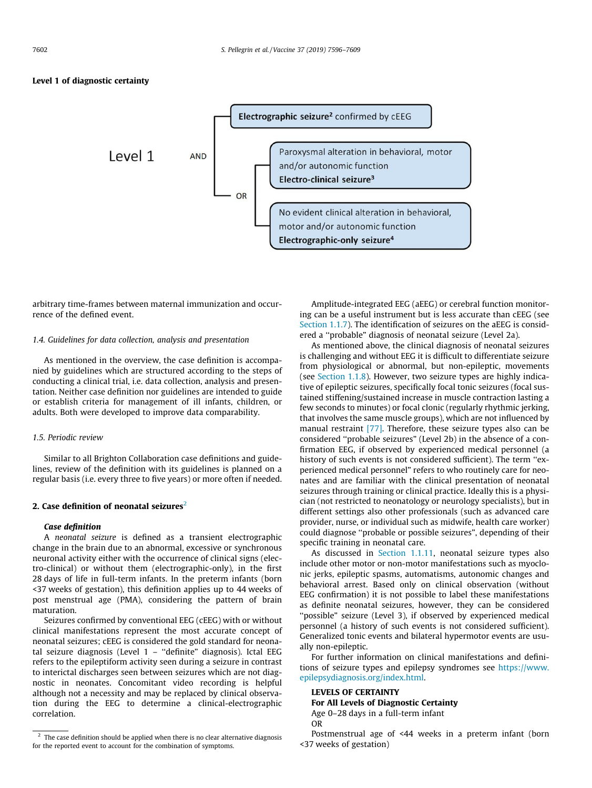# Level 1 of diagnostic certainty



arbitrary time-frames between maternal immunization and occurrence of the defined event.

# 1.4. Guidelines for data collection, analysis and presentation

As mentioned in the overview, the case definition is accompanied by guidelines which are structured according to the steps of conducting a clinical trial, i.e. data collection, analysis and presentation. Neither case definition nor guidelines are intended to guide or establish criteria for management of ill infants, children, or adults. Both were developed to improve data comparability.

# 1.5. Periodic review

Similar to all Brighton Collaboration case definitions and guidelines, review of the definition with its guidelines is planned on a regular basis (i.e. every three to five years) or more often if needed.

# 2. Case definition of neonatal seizures $2$

# Case definition

A neonatal seizure is defined as a transient electrographic change in the brain due to an abnormal, excessive or synchronous neuronal activity either with the occurrence of clinical signs (electro-clinical) or without them (electrographic-only), in the first 28 days of life in full-term infants. In the preterm infants (born <37 weeks of gestation), this definition applies up to 44 weeks of post menstrual age (PMA), considering the pattern of brain maturation.

Seizures confirmed by conventional EEG (cEEG) with or without clinical manifestations represent the most accurate concept of neonatal seizures; cEEG is considered the gold standard for neonatal seizure diagnosis (Level 1 – ''definite" diagnosis). Ictal EEG refers to the epileptiform activity seen during a seizure in contrast to interictal discharges seen between seizures which are not diagnostic in neonates. Concomitant video recording is helpful although not a necessity and may be replaced by clinical observation during the EEG to determine a clinical-electrographic correlation.

Amplitude-integrated EEG (aEEG) or cerebral function monitoring can be a useful instrument but is less accurate than cEEG (see [Section 1.1.7\)](#page-3-0). The identification of seizures on the aEEG is considered a ''probable" diagnosis of neonatal seizure (Level 2a).

As mentioned above, the clinical diagnosis of neonatal seizures is challenging and without EEG it is difficult to differentiate seizure from physiological or abnormal, but non-epileptic, movements (see [Section 1.1.8](#page-4-0)). However, two seizure types are highly indicative of epileptic seizures, specifically focal tonic seizures (focal sustained stiffening/sustained increase in muscle contraction lasting a few seconds to minutes) or focal clonic (regularly rhythmic jerking, that involves the same muscle groups), which are not influenced by manual restraint [\[77\].](#page-13-0) Therefore, these seizure types also can be considered ''probable seizures" (Level 2b) in the absence of a confirmation EEG, if observed by experienced medical personnel (a history of such events is not considered sufficient). The term ''experienced medical personnel" refers to who routinely care for neonates and are familiar with the clinical presentation of neonatal seizures through training or clinical practice. Ideally this is a physician (not restricted to neonatology or neurology specialists), but in different settings also other professionals (such as advanced care provider, nurse, or individual such as midwife, health care worker) could diagnose ''probable or possible seizures", depending of their specific training in neonatal care.

As discussed in [Section 1.1.11](#page-5-0), neonatal seizure types also include other motor or non-motor manifestations such as myoclonic jerks, epileptic spasms, automatisms, autonomic changes and behavioral arrest. Based only on clinical observation (without EEG confirmation) it is not possible to label these manifestations as definite neonatal seizures, however, they can be considered ''possible" seizure (Level 3), if observed by experienced medical personnel (a history of such events is not considered sufficient). Generalized tonic events and bilateral hypermotor events are usually non-epileptic.

For further information on clinical manifestations and definitions of seizure types and epilepsy syndromes see [https://www.](https://www.epilepsydiagnosis.org/index.html) [epilepsydiagnosis.org/index.html.](https://www.epilepsydiagnosis.org/index.html)

# LEVELS OF CERTAINTY

For All Levels of Diagnostic Certainty Age 0–28 days in a full-term infant OR

Postmenstrual age of <44 weeks in a preterm infant (born <37 weeks of gestation)

 $2$  The case definition should be applied when there is no clear alternative diagnosis for the reported event to account for the combination of symptoms.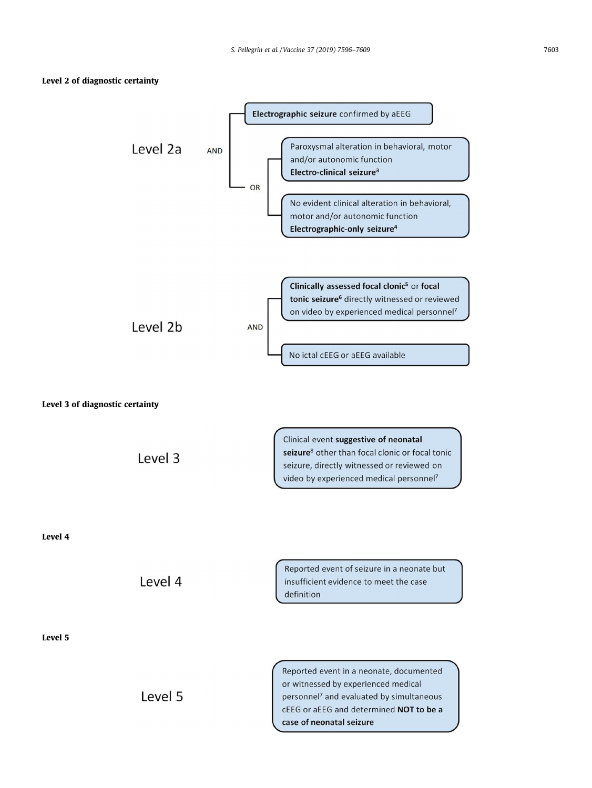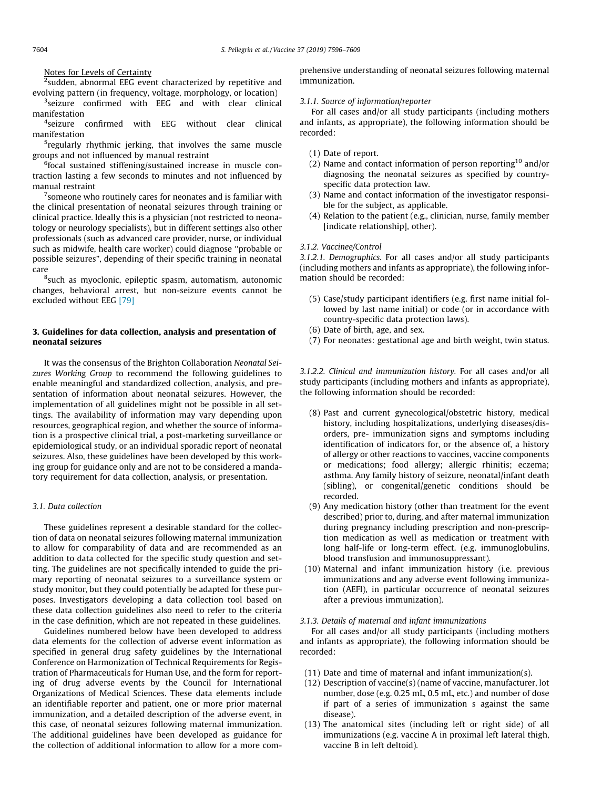# Notes for Levels of Certainty

 $^{2}$ sudden, abnormal EEG event characterized by repetitive and evolving pattern (in frequency, voltage, morphology, or location)

<sup>3</sup>seizure confirmed with EEG and with clear clinical manifestation

4 seizure confirmed with EEG without clear clinical manifestation

5 regularly rhythmic jerking, that involves the same muscle groups and not influenced by manual restraint

<sup>6</sup>focal sustained stiffening/sustained increase in muscle contraction lasting a few seconds to minutes and not influenced by manual restraint

 $\sigma$  someone who routinely cares for neonates and is familiar with the clinical presentation of neonatal seizures through training or clinical practice. Ideally this is a physician (not restricted to neonatology or neurology specialists), but in different settings also other professionals (such as advanced care provider, nurse, or individual such as midwife, health care worker) could diagnose ''probable or possible seizures", depending of their specific training in neonatal care

<sup>8</sup>such as myoclonic, epileptic spasm, automatism, autonomic changes, behavioral arrest, but non-seizure events cannot be excluded without EEG [\[79\]](#page-13-0)

# 3. Guidelines for data collection, analysis and presentation of neonatal seizures

It was the consensus of the Brighton Collaboration Neonatal Seizures Working Group to recommend the following guidelines to enable meaningful and standardized collection, analysis, and presentation of information about neonatal seizures. However, the implementation of all guidelines might not be possible in all settings. The availability of information may vary depending upon resources, geographical region, and whether the source of information is a prospective clinical trial, a post-marketing surveillance or epidemiological study, or an individual sporadic report of neonatal seizures. Also, these guidelines have been developed by this working group for guidance only and are not to be considered a mandatory requirement for data collection, analysis, or presentation.

# 3.1. Data collection

These guidelines represent a desirable standard for the collection of data on neonatal seizures following maternal immunization to allow for comparability of data and are recommended as an addition to data collected for the specific study question and setting. The guidelines are not specifically intended to guide the primary reporting of neonatal seizures to a surveillance system or study monitor, but they could potentially be adapted for these purposes. Investigators developing a data collection tool based on these data collection guidelines also need to refer to the criteria in the case definition, which are not repeated in these guidelines.

Guidelines numbered below have been developed to address data elements for the collection of adverse event information as specified in general drug safety guidelines by the International Conference on Harmonization of Technical Requirements for Registration of Pharmaceuticals for Human Use, and the form for reporting of drug adverse events by the Council for International Organizations of Medical Sciences. These data elements include an identifiable reporter and patient, one or more prior maternal immunization, and a detailed description of the adverse event, in this case, of neonatal seizures following maternal immunization. The additional guidelines have been developed as guidance for the collection of additional information to allow for a more comprehensive understanding of neonatal seizures following maternal immunization.

# 3.1.1. Source of information/reporter

For all cases and/or all study participants (including mothers and infants, as appropriate), the following information should be recorded:

- (1) Date of report.
- (2) Name and contact information of person reporting<sup>10</sup> and/or diagnosing the neonatal seizures as specified by countryspecific data protection law.
- (3) Name and contact information of the investigator responsible for the subject, as applicable.
- (4) Relation to the patient (e.g., clinician, nurse, family member [indicate relationship], other).

# 3.1.2. Vaccinee/Control

3.1.2.1. Demographics. For all cases and/or all study participants (including mothers and infants as appropriate), the following information should be recorded:

- (5) Case/study participant identifiers (e.g. first name initial followed by last name initial) or code (or in accordance with country-specific data protection laws).
- (6) Date of birth, age, and sex.
- (7) For neonates: gestational age and birth weight, twin status.

3.1.2.2. Clinical and immunization history. For all cases and/or all study participants (including mothers and infants as appropriate), the following information should be recorded:

- (8) Past and current gynecological/obstetric history, medical history, including hospitalizations, underlying diseases/disorders, pre- immunization signs and symptoms including identification of indicators for, or the absence of, a history of allergy or other reactions to vaccines, vaccine components or medications; food allergy; allergic rhinitis; eczema; asthma. Any family history of seizure, neonatal/infant death (sibling), or congenital/genetic conditions should be recorded.
- (9) Any medication history (other than treatment for the event described) prior to, during, and after maternal immunization during pregnancy including prescription and non-prescription medication as well as medication or treatment with long half-life or long-term effect. (e.g. immunoglobulins, blood transfusion and immunosuppressant).
- (10) Maternal and infant immunization history (i.e. previous immunizations and any adverse event following immunization (AEFI), in particular occurrence of neonatal seizures after a previous immunization).

# 3.1.3. Details of maternal and infant immunizations

For all cases and/or all study participants (including mothers and infants as appropriate), the following information should be recorded:

- (11) Date and time of maternal and infant immunization(s).
- (12) Description of vaccine(s) (name of vaccine, manufacturer, lot number, dose (e.g. 0.25 mL, 0.5 mL, etc.) and number of dose if part of a series of immunization s against the same disease).
- (13) The anatomical sites (including left or right side) of all immunizations (e.g. vaccine A in proximal left lateral thigh, vaccine B in left deltoid).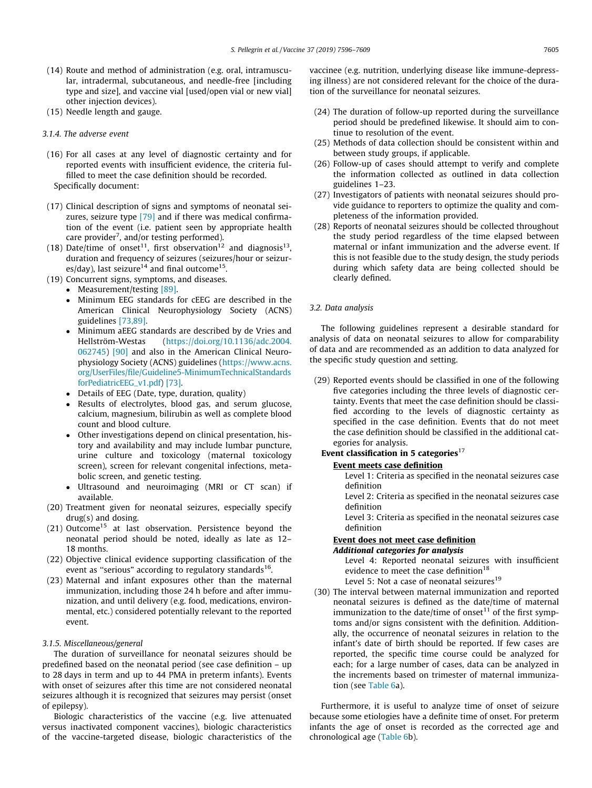- (14) Route and method of administration (e.g. oral, intramuscular, intradermal, subcutaneous, and needle-free [including type and size], and vaccine vial [used/open vial or new vial] other injection devices).
- (15) Needle length and gauge.
- 3.1.4. The adverse event
- (16) For all cases at any level of diagnostic certainty and for reported events with insufficient evidence, the criteria fulfilled to meet the case definition should be recorded. Specifically document:
- (17) Clinical description of signs and symptoms of neonatal sei-zures, seizure type [\[79\]](#page-13-0) and if there was medical confirmation of the event (i.e. patient seen by appropriate health care provider<sup>7</sup>, and/or testing performed).
- (18) Date/time of onset<sup>11</sup>, first observation<sup>12</sup> and diagnosis<sup>13</sup>, duration and frequency of seizures (seizures/hour or seizures/day), last seizure<sup>14</sup> and final outcome<sup>15</sup>.
- (19) Concurrent signs, symptoms, and diseases.
	- Measurement/testing [\[89\]](#page-13-0).
		- Minimum EEG standards for cEEG are described in the American Clinical Neurophysiology Society (ACNS) guidelines [\[73,89\].](#page-13-0)
		- Minimum aEEG standards are described by de Vries and<br>Hellström-Westas (https://doi.org/10.1136/adc.2004. [\(https://doi.org/10.1136/adc.2004.](http://dx.doi.org/10.1136/adc.2004.062745) [062745\)](http://dx.doi.org/10.1136/adc.2004.062745) [\[90\]](#page-14-0) and also in the American Clinical Neurophysiology Society (ACNS) guidelines ([https://www.acns.](https://www.acns.org/UserFiles/file/Guideline5-MinimumTechnicalStandardsforPediatricEEG_v1.pdf) [org/UserFiles/file/Guideline5-MinimumTechnicalStandards](https://www.acns.org/UserFiles/file/Guideline5-MinimumTechnicalStandardsforPediatricEEG_v1.pdf) [forPediatricEEG\\_v1.pdf\)](https://www.acns.org/UserFiles/file/Guideline5-MinimumTechnicalStandardsforPediatricEEG_v1.pdf) [\[73\]](#page-13-0).
		- Details of EEG (Date, type, duration, quality)
		- Results of electrolytes, blood gas, and serum glucose, calcium, magnesium, bilirubin as well as complete blood count and blood culture.
		- Other investigations depend on clinical presentation, history and availability and may include lumbar puncture, urine culture and toxicology (maternal toxicology screen), screen for relevant congenital infections, metabolic screen, and genetic testing.
		- Ultrasound and neuroimaging (MRI or CT scan) if available.
- (20) Treatment given for neonatal seizures, especially specify drug(s) and dosing.
- $(21)$  Outcome<sup>15</sup> at last observation. Persistence beyond the neonatal period should be noted, ideally as late as 12– 18 months.
- (22) Objective clinical evidence supporting classification of the event as "serious" according to regulatory standards<sup>16</sup>.
- (23) Maternal and infant exposures other than the maternal immunization, including those 24 h before and after immunization, and until delivery (e.g. food, medications, environmental, etc.) considered potentially relevant to the reported event.

# 3.1.5. Miscellaneous/general

The duration of surveillance for neonatal seizures should be predefined based on the neonatal period (see case definition – up to 28 days in term and up to 44 PMA in preterm infants). Events with onset of seizures after this time are not considered neonatal seizures although it is recognized that seizures may persist (onset of epilepsy).

Biologic characteristics of the vaccine (e.g. live attenuated versus inactivated component vaccines), biologic characteristics of the vaccine-targeted disease, biologic characteristics of the vaccinee (e.g. nutrition, underlying disease like immune-depressing illness) are not considered relevant for the choice of the duration of the surveillance for neonatal seizures.

- (24) The duration of follow-up reported during the surveillance period should be predefined likewise. It should aim to continue to resolution of the event.
- (25) Methods of data collection should be consistent within and between study groups, if applicable.
- (26) Follow-up of cases should attempt to verify and complete the information collected as outlined in data collection guidelines 1–23.
- (27) Investigators of patients with neonatal seizures should provide guidance to reporters to optimize the quality and completeness of the information provided.
- (28) Reports of neonatal seizures should be collected throughout the study period regardless of the time elapsed between maternal or infant immunization and the adverse event. If this is not feasible due to the study design, the study periods during which safety data are being collected should be clearly defined.

# 3.2. Data analysis

The following guidelines represent a desirable standard for analysis of data on neonatal seizures to allow for comparability of data and are recommended as an addition to data analyzed for the specific study question and setting.

(29) Reported events should be classified in one of the following five categories including the three levels of diagnostic certainty. Events that meet the case definition should be classified according to the levels of diagnostic certainty as specified in the case definition. Events that do not meet the case definition should be classified in the additional categories for analysis.

# Event classification in 5 categories $^{17}$

## Event meets case definition

Level 1: Criteria as specified in the neonatal seizures case definition

Level 2: Criteria as specified in the neonatal seizures case definition

Level 3: Criteria as specified in the neonatal seizures case definition

# Event does not meet case definition Additional categories for analysis

Level 4: Reported neonatal seizures with insufficient evidence to meet the case definition<sup>18</sup>

Level 5: Not a case of neonatal seizures $19$ 

(30) The interval between maternal immunization and reported neonatal seizures is defined as the date/time of maternal immunization to the date/time of onset $11$  of the first symptoms and/or signs consistent with the definition. Additionally, the occurrence of neonatal seizures in relation to the infant's date of birth should be reported. If few cases are reported, the specific time course could be analyzed for each; for a large number of cases, data can be analyzed in the increments based on trimester of maternal immunization (see [Table 6](#page-11-0)a).

Furthermore, it is useful to analyze time of onset of seizure because some etiologies have a definite time of onset. For preterm infants the age of onset is recorded as the corrected age and chronological age ([Table 6b](#page-11-0)).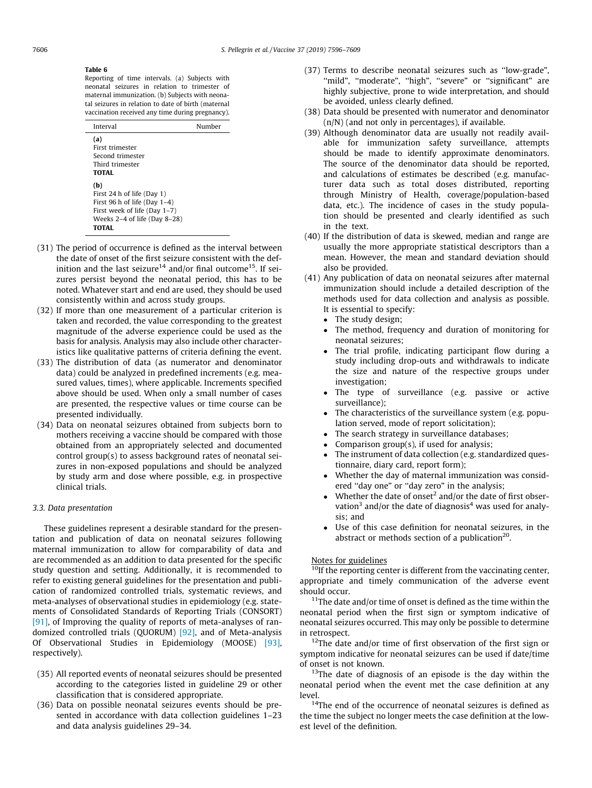#### <span id="page-11-0"></span>Table 6

Reporting of time intervals. (a) Subjects with neonatal seizures in relation to trimester of maternal immunization. (b) Subjects with neonatal seizures in relation to date of birth (maternal vaccination received any time during pregnancy).

| Interval                                                                                                                                         | Number |
|--------------------------------------------------------------------------------------------------------------------------------------------------|--------|
| (a)<br>First trimester<br>Second trimester<br>Third trimester<br>TOTAL.                                                                          |        |
| (b)<br>First 24 h of life (Day 1)<br>First 96 h of life (Day $1-4$ )<br>First week of life (Day 1-7)<br>Weeks $2-4$ of life (Day 8-28)<br>TOTAL. |        |

- (31) The period of occurrence is defined as the interval between the date of onset of the first seizure consistent with the definition and the last seizure<sup>14</sup> and/or final outcome<sup>15</sup>. If seizures persist beyond the neonatal period, this has to be noted. Whatever start and end are used, they should be used consistently within and across study groups.
- (32) If more than one measurement of a particular criterion is taken and recorded, the value corresponding to the greatest magnitude of the adverse experience could be used as the basis for analysis. Analysis may also include other characteristics like qualitative patterns of criteria defining the event.
- (33) The distribution of data (as numerator and denominator data) could be analyzed in predefined increments (e.g. measured values, times), where applicable. Increments specified above should be used. When only a small number of cases are presented, the respective values or time course can be presented individually.
- (34) Data on neonatal seizures obtained from subjects born to mothers receiving a vaccine should be compared with those obtained from an appropriately selected and documented control group(s) to assess background rates of neonatal seizures in non-exposed populations and should be analyzed by study arm and dose where possible, e.g. in prospective clinical trials.

# 3.3. Data presentation

These guidelines represent a desirable standard for the presentation and publication of data on neonatal seizures following maternal immunization to allow for comparability of data and are recommended as an addition to data presented for the specific study question and setting. Additionally, it is recommended to refer to existing general guidelines for the presentation and publication of randomized controlled trials, systematic reviews, and meta-analyses of observational studies in epidemiology (e.g. statements of Consolidated Standards of Reporting Trials (CONSORT) [\[91\]](#page-14-0), of Improving the quality of reports of meta-analyses of randomized controlled trials (QUORUM) [\[92\]](#page-14-0), and of Meta-analysis Of Observational Studies in Epidemiology (MOOSE) [\[93\],](#page-14-0) respectively).

- (35) All reported events of neonatal seizures should be presented according to the categories listed in guideline 29 or other classification that is considered appropriate.
- (36) Data on possible neonatal seizures events should be presented in accordance with data collection guidelines 1–23 and data analysis guidelines 29–34.
- (37) Terms to describe neonatal seizures such as ''low-grade", "mild", "moderate", "high", "severe" or "significant" are highly subjective, prone to wide interpretation, and should be avoided, unless clearly defined.
- (38) Data should be presented with numerator and denominator (n/N) (and not only in percentages), if available.
- (39) Although denominator data are usually not readily available for immunization safety surveillance, attempts should be made to identify approximate denominators. The source of the denominator data should be reported, and calculations of estimates be described (e.g. manufacturer data such as total doses distributed, reporting through Ministry of Health, coverage/population-based data, etc.). The incidence of cases in the study population should be presented and clearly identified as such in the text.
- (40) If the distribution of data is skewed, median and range are usually the more appropriate statistical descriptors than a mean. However, the mean and standard deviation should also be provided.
- (41) Any publication of data on neonatal seizures after maternal immunization should include a detailed description of the methods used for data collection and analysis as possible. It is essential to specify:
	-
	- The study design;<br>• The method, freq The method, frequency and duration of monitoring for neonatal seizures;
	- The trial profile, indicating participant flow during a study including drop-outs and withdrawals to indicate the size and nature of the respective groups under investigation;
	- The type of surveillance (e.g. passive or active surveillance);
	- The characteristics of the surveillance system (e.g. population served, mode of report solicitation);
	- The search strategy in surveillance databases;
	- Comparison group(s), if used for analysis;
	- The instrument of data collection (e.g. standardized questionnaire, diary card, report form);
	- Whether the day of maternal immunization was considered "day one" or "day zero" in the analysis;
	- Whether the date of onset<sup>2</sup> and/or the date of first observation<sup>3</sup> and/or the date of diagnosis<sup>4</sup> was used for analysis; and
	- Use of this case definition for neonatal seizures, in the abstract or methods section of a publication $20$ .

# Notes for guidelines

<sup>10</sup>If the reporting center is different from the vaccinating center, appropriate and timely communication of the adverse event should occur.

 $11$ The date and/or time of onset is defined as the time within the neonatal period when the first sign or symptom indicative of neonatal seizures occurred. This may only be possible to determine in retrospect.

 $12$ The date and/or time of first observation of the first sign or symptom indicative for neonatal seizures can be used if date/time of onset is not known.

 $13$ The date of diagnosis of an episode is the day within the neonatal period when the event met the case definition at any level.

<sup>14</sup>The end of the occurrence of neonatal seizures is defined as the time the subject no longer meets the case definition at the lowest level of the definition.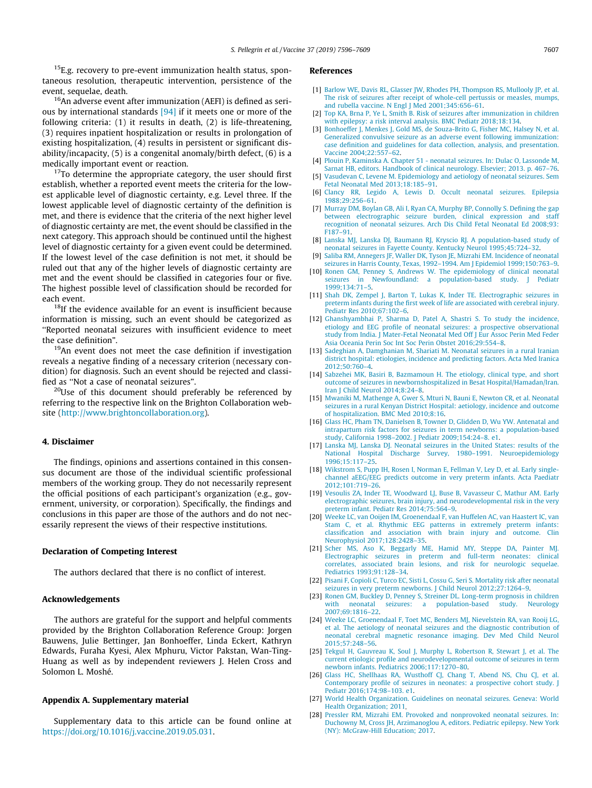<span id="page-12-0"></span> $15E.g.$  recovery to pre-event immunization health status, spontaneous resolution, therapeutic intervention, persistence of the event, sequelae, death.

<sup>16</sup>An adverse event after immunization (AEFI) is defined as serious by international standards [\[94\]](#page-14-0) if it meets one or more of the following criteria: (1) it results in death, (2) is life-threatening, (3) requires inpatient hospitalization or results in prolongation of existing hospitalization, (4) results in persistent or significant disability/incapacity, (5) is a congenital anomaly/birth defect, (6) is a medically important event or reaction.

 $17$ To determine the appropriate category, the user should first establish, whether a reported event meets the criteria for the lowest applicable level of diagnostic certainty, e.g. Level three. If the lowest applicable level of diagnostic certainty of the definition is met, and there is evidence that the criteria of the next higher level of diagnostic certainty are met, the event should be classified in the next category. This approach should be continued until the highest level of diagnostic certainty for a given event could be determined. If the lowest level of the case definition is not met, it should be ruled out that any of the higher levels of diagnostic certainty are met and the event should be classified in categories four or five. The highest possible level of classification should be recorded for each event.

 $18$ If the evidence available for an event is insufficient because information is missing, such an event should be categorized as ''Reported neonatal seizures with insufficient evidence to meet the case definition".

<sup>19</sup>An event does not meet the case definition if investigation reveals a negative finding of a necessary criterion (necessary condition) for diagnosis. Such an event should be rejected and classified as ''Not a case of neonatal seizures".

<sup>20</sup>Use of this document should preferably be referenced by referring to the respective link on the Brighton Collaboration website ([http://www.brightoncollaboration.org\)](http://www.brightoncollaboration.org).

# 4. Disclaimer

The findings, opinions and assertions contained in this consensus document are those of the individual scientific professional members of the working group. They do not necessarily represent the official positions of each participant's organization (e.g., government, university, or corporation). Specifically, the findings and conclusions in this paper are those of the authors and do not necessarily represent the views of their respective institutions.

#### Declaration of Competing Interest

The authors declared that there is no conflict of interest.

### Acknowledgements

The authors are grateful for the support and helpful comments provided by the Brighton Collaboration Reference Group: Jorgen Bauwens, Julie Bettinger, Jan Bonhoeffer, Linda Eckert, Kathryn Edwards, Furaha Kyesi, Alex Mphuru, Victor Pakstan, Wan-Ting-Huang as well as by independent reviewers J. Helen Cross and Solomon L. Moshé.

#### Appendix A. Supplementary material

Supplementary data to this article can be found online at <https://doi.org/10.1016/j.vaccine.2019.05.031>.

# References

- [1] [Barlow WE, Davis RL, Glasser JW, Rhodes PH, Thompson RS, Mullooly JP, et al.](http://refhub.elsevier.com/S0264-410X(19)30655-3/h0005) [The risk of seizures after receipt of whole-cell pertussis or measles, mumps,](http://refhub.elsevier.com/S0264-410X(19)30655-3/h0005) [and rubella vaccine. N Engl J Med 2001;345:656–61.](http://refhub.elsevier.com/S0264-410X(19)30655-3/h0005)
- [2] [Top KA, Brna P, Ye L, Smith B. Risk of seizures after immunization in children](http://refhub.elsevier.com/S0264-410X(19)30655-3/h0010) [with epilepsy: a risk interval analysis. BMC Pediatr 2018;18:134](http://refhub.elsevier.com/S0264-410X(19)30655-3/h0010).
- [3] [Bonhoeffer J, Menkes J, Gold MS, de Souza-Brito G, Fisher MC, Halsey N, et al.](http://refhub.elsevier.com/S0264-410X(19)30655-3/h0015) [Generalized convulsive seizure as an adverse event following immunization:](http://refhub.elsevier.com/S0264-410X(19)30655-3/h0015) [case definition and guidelines for data collection, analysis, and presentation.](http://refhub.elsevier.com/S0264-410X(19)30655-3/h0015) [Vaccine 2004;22:557–62](http://refhub.elsevier.com/S0264-410X(19)30655-3/h0015).
- [4] [Plouin P, Kaminska A. Chapter 51 neonatal seizures. In: Dulac O, Lassonde M,](http://refhub.elsevier.com/S0264-410X(19)30655-3/h0020) [Sarnat HB, editors. Handbook of clinical neurology. Elsevier; 2013. p. 467–76.](http://refhub.elsevier.com/S0264-410X(19)30655-3/h0020)
- [5] [Vasudevan C, Levene M. Epidemiology and aetiology of neonatal seizures. Sem](http://refhub.elsevier.com/S0264-410X(19)30655-3/h0025) [Fetal Neonatal Med 2013;18:185–91](http://refhub.elsevier.com/S0264-410X(19)30655-3/h0025).
- [6] [Clancy RR, Legido A, Lewis D. Occult neonatal seizures. Epilepsia](http://refhub.elsevier.com/S0264-410X(19)30655-3/h0030) [1988;29:256–61.](http://refhub.elsevier.com/S0264-410X(19)30655-3/h0030)
- [7] [Murray DM, Boylan GB, Ali I, Ryan CA, Murphy BP, Connolly S. Defining the gap](http://refhub.elsevier.com/S0264-410X(19)30655-3/h0035) [between electrographic seizure burden, clinical expression and staff](http://refhub.elsevier.com/S0264-410X(19)30655-3/h0035) [recognition of neonatal seizures. Arch Dis Child Fetal Neonatal Ed 2008;93:](http://refhub.elsevier.com/S0264-410X(19)30655-3/h0035) [F187–91.](http://refhub.elsevier.com/S0264-410X(19)30655-3/h0035)
- [8] [Lanska MJ, Lanska DJ, Baumann RJ, Kryscio RJ. A population-based study of](http://refhub.elsevier.com/S0264-410X(19)30655-3/h0040) [neonatal seizures in Fayette County. Kentucky Neurol 1995;45:724–32.](http://refhub.elsevier.com/S0264-410X(19)30655-3/h0040)
- [9] [Saliba RM, Annegers JF, Waller DK, Tyson JE, Mizrahi EM. Incidence of neonatal](http://refhub.elsevier.com/S0264-410X(19)30655-3/h0045) [seizures in Harris County, Texas, 1992–1994. Am J Epidemiol 1999;150:763–9.](http://refhub.elsevier.com/S0264-410X(19)30655-3/h0045)
- [10] [Ronen GM, Penney S, Andrews W. The epidemiology of clinical neonatal](http://refhub.elsevier.com/S0264-410X(19)30655-3/h0050) [seizures in Newfoundland: a population-based study. J Pediatr](http://refhub.elsevier.com/S0264-410X(19)30655-3/h0050) [1999;134:71–5.](http://refhub.elsevier.com/S0264-410X(19)30655-3/h0050)
- [11] [Shah DK, Zempel J, Barton T, Lukas K, Inder TE. Electrographic seizures in](http://refhub.elsevier.com/S0264-410X(19)30655-3/h0055) [preterm infants during the first week of life are associated with cerebral injury.](http://refhub.elsevier.com/S0264-410X(19)30655-3/h0055) [Pediatr Res 2010;67:102–6.](http://refhub.elsevier.com/S0264-410X(19)30655-3/h0055)
- [12] [Ghanshyambhai P, Sharma D, Patel A, Shastri S. To study the incidence,](http://refhub.elsevier.com/S0264-410X(19)30655-3/h0060) [etiology and EEG profile of neonatal seizures: a prospective observational](http://refhub.elsevier.com/S0264-410X(19)30655-3/h0060) [study from India. J Mater-Fetal Neonatal Med Off J Eur Assoc Perin Med Feder](http://refhub.elsevier.com/S0264-410X(19)30655-3/h0060) [Asia Oceania Perin Soc Int Soc Perin Obstet 2016;29:554–8](http://refhub.elsevier.com/S0264-410X(19)30655-3/h0060).
- [13] [Sadeghian A, Damghanian M, Shariati M. Neonatal seizures in a rural Iranian](http://refhub.elsevier.com/S0264-410X(19)30655-3/h0065) [district hospital: etiologies, incidence and predicting factors. Acta Med Iranica](http://refhub.elsevier.com/S0264-410X(19)30655-3/h0065)  $2012:50:760-4$
- [14] [Sabzehei MK, Basiri B, Bazmamoun H. The etiology, clinical type, and short](http://refhub.elsevier.com/S0264-410X(19)30655-3/h0070) [outcome of seizures in newbornshospitalized in Besat Hospital/Hamadan/Iran.](http://refhub.elsevier.com/S0264-410X(19)30655-3/h0070) [Iran J Child Neurol 2014;8:24–8.](http://refhub.elsevier.com/S0264-410X(19)30655-3/h0070)
- [15] [Mwaniki M, Mathenge A, Gwer S, Mturi N, Bauni E, Newton CR, et al. Neonatal](http://refhub.elsevier.com/S0264-410X(19)30655-3/h0075) [seizures in a rural Kenyan District Hospital: aetiology, incidence and outcome](http://refhub.elsevier.com/S0264-410X(19)30655-3/h0075) [of hospitalization. BMC Med 2010;8:16.](http://refhub.elsevier.com/S0264-410X(19)30655-3/h0075)
- [16] [Glass HC, Pham TN, Danielsen B, Towner D, Glidden D, Wu YW. Antenatal and](http://refhub.elsevier.com/S0264-410X(19)30655-3/h0080) [intrapartum risk factors for seizures in term newborns: a population-based](http://refhub.elsevier.com/S0264-410X(19)30655-3/h0080) [study, California 1998–2002. J Pediatr 2009;154:24–8. e1.](http://refhub.elsevier.com/S0264-410X(19)30655-3/h0080)
- [17] [Lanska MJ, Lanska DJ. Neonatal seizures in the United States: results of the](http://refhub.elsevier.com/S0264-410X(19)30655-3/h0085) [National Hospital Discharge Survey, 1980–1991. Neuroepidemiology](http://refhub.elsevier.com/S0264-410X(19)30655-3/h0085) [1996;15:117–25.](http://refhub.elsevier.com/S0264-410X(19)30655-3/h0085)
- [18] [Wikstrom S, Pupp IH, Rosen I, Norman E, Fellman V, Ley D, et al. Early single](http://refhub.elsevier.com/S0264-410X(19)30655-3/h0090)[channel aEEG/EEG predicts outcome in very preterm infants. Acta Paediatr](http://refhub.elsevier.com/S0264-410X(19)30655-3/h0090) [2012;101:719–26](http://refhub.elsevier.com/S0264-410X(19)30655-3/h0090).
- [19] [Vesoulis ZA, Inder TE, Woodward LJ, Buse B, Vavasseur C, Mathur AM. Early](http://refhub.elsevier.com/S0264-410X(19)30655-3/h0095) [electrographic seizures, brain injury, and neurodevelopmental risk in the very](http://refhub.elsevier.com/S0264-410X(19)30655-3/h0095) [preterm infant. Pediatr Res 2014;75:564–9](http://refhub.elsevier.com/S0264-410X(19)30655-3/h0095).
- [20] [Weeke LC, van Ooijen IM, Groenendaal F, van Huffelen AC, van Haastert IC, van](http://refhub.elsevier.com/S0264-410X(19)30655-3/h0100) [Stam C, et al. Rhythmic EEG patterns in extremely preterm infants:](http://refhub.elsevier.com/S0264-410X(19)30655-3/h0100) [classification and association with brain injury and outcome. Clin](http://refhub.elsevier.com/S0264-410X(19)30655-3/h0100) [Neurophysiol 2017;128:2428–35.](http://refhub.elsevier.com/S0264-410X(19)30655-3/h0100)
- [21] [Scher MS, Aso K, Beggarly ME, Hamid MY, Steppe DA, Painter MJ.](http://refhub.elsevier.com/S0264-410X(19)30655-3/h0105) [Electrographic seizures in preterm and full-term neonates: clinical](http://refhub.elsevier.com/S0264-410X(19)30655-3/h0105) [correlates, associated brain lesions, and risk for neurologic sequelae.](http://refhub.elsevier.com/S0264-410X(19)30655-3/h0105) [Pediatrics 1993;91:128–34](http://refhub.elsevier.com/S0264-410X(19)30655-3/h0105).
- [22] [Pisani F, Copioli C, Turco EC, Sisti L, Cossu G, Seri S. Mortality risk after neonatal](http://refhub.elsevier.com/S0264-410X(19)30655-3/h0110) [seizures in very preterm newborns. J Child Neurol 2012;27:1264–9.](http://refhub.elsevier.com/S0264-410X(19)30655-3/h0110)
- [23] [Ronen GM, Buckley D, Penney S, Streiner DL. Long-term prognosis in children](http://refhub.elsevier.com/S0264-410X(19)30655-3/h0115) with neonatal seizures: a population-based [2007;69:1816–22](http://refhub.elsevier.com/S0264-410X(19)30655-3/h0115).
- [24] [Weeke LC, Groenendaal F, Toet MC, Benders MJ, Nievelstein RA, van Rooij LG,](http://refhub.elsevier.com/S0264-410X(19)30655-3/h0120) [et al. The aetiology of neonatal seizures and the diagnostic contribution of](http://refhub.elsevier.com/S0264-410X(19)30655-3/h0120) [neonatal cerebral magnetic resonance imaging. Dev Med Child Neurol](http://refhub.elsevier.com/S0264-410X(19)30655-3/h0120) [2015;57:248–56](http://refhub.elsevier.com/S0264-410X(19)30655-3/h0120).
- [25] [Tekgul H, Gauvreau K, Soul J, Murphy L, Robertson R, Stewart J, et al. The](http://refhub.elsevier.com/S0264-410X(19)30655-3/h0125) [current etiologic profile and neurodevelopmental outcome of seizures in term](http://refhub.elsevier.com/S0264-410X(19)30655-3/h0125) [newborn infants. Pediatrics 2006;117:1270–80](http://refhub.elsevier.com/S0264-410X(19)30655-3/h0125).
- [26] [Glass HC, Shellhaas RA, Wusthoff CJ, Chang T, Abend NS, Chu CJ, et al.](http://refhub.elsevier.com/S0264-410X(19)30655-3/h0130) [Contemporary profile of seizures in neonates: a prospective cohort study. J](http://refhub.elsevier.com/S0264-410X(19)30655-3/h0130) [Pediatr 2016;174:98–103. e1.](http://refhub.elsevier.com/S0264-410X(19)30655-3/h0130)
- [27] [World Health Organization. Guidelines on neonatal seizures. Geneva: World](http://refhub.elsevier.com/S0264-410X(19)30655-3/h0135) [Health Organization; 2011.](http://refhub.elsevier.com/S0264-410X(19)30655-3/h0135)
- [28] [Pressler RM, Mizrahi EM. Provoked and nonprovoked neonatal seizures. In:](http://refhub.elsevier.com/S0264-410X(19)30655-3/h0140) [Duchowny M, Cross JH, Arzimanoglou A, editors. Pediatric epilepsy. New York](http://refhub.elsevier.com/S0264-410X(19)30655-3/h0140) [\(NY\): McGraw-Hill Education; 2017](http://refhub.elsevier.com/S0264-410X(19)30655-3/h0140).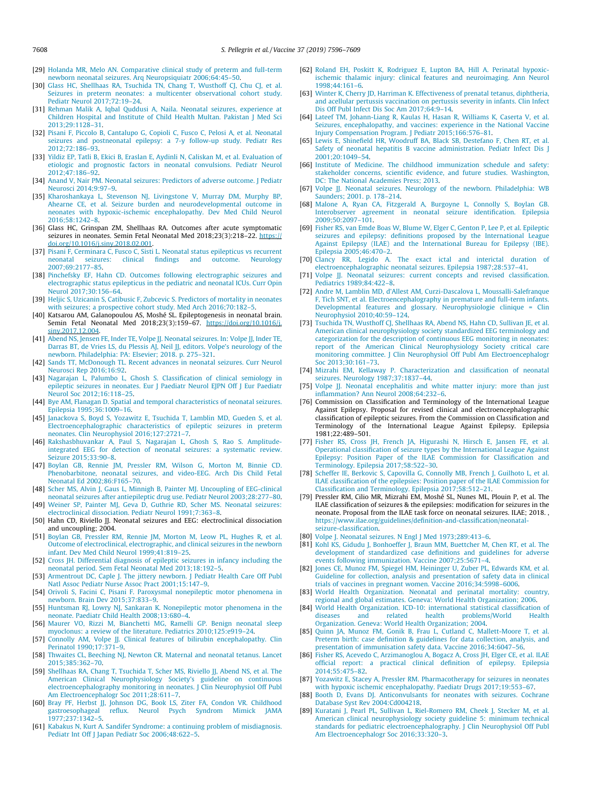- <span id="page-13-0"></span>[29] [Holanda MR, Melo AN. Comparative clinical study of preterm and full-term](http://refhub.elsevier.com/S0264-410X(19)30655-3/h0145) [newborn neonatal seizures. Arq Neuropsiquiatr 2006;64:45–50](http://refhub.elsevier.com/S0264-410X(19)30655-3/h0145).
- [30] [Glass HC, Shellhaas RA, Tsuchida TN, Chang T, Wusthoff CJ, Chu CJ, et al.](http://refhub.elsevier.com/S0264-410X(19)30655-3/h0150) [Seizures in preterm neonates: a multicenter observational cohort study.](http://refhub.elsevier.com/S0264-410X(19)30655-3/h0150) [Pediatr Neurol 2017;72:19–24](http://refhub.elsevier.com/S0264-410X(19)30655-3/h0150).
- [31] [Rehman Malik A, Iqbal Quddusi A, Naila. Neonatal seizures, experience at](http://refhub.elsevier.com/S0264-410X(19)30655-3/h0155) [Children Hospital and Institute of Child Health Multan. Pakistan J Med Sci](http://refhub.elsevier.com/S0264-410X(19)30655-3/h0155) [2013;29:1128–31.](http://refhub.elsevier.com/S0264-410X(19)30655-3/h0155)
- [32] [Pisani F, Piccolo B, Cantalupo G, Copioli C, Fusco C, Pelosi A, et al. Neonatal](http://refhub.elsevier.com/S0264-410X(19)30655-3/h0160) [seizures and postneonatal epilepsy: a 7-y follow-up study. Pediatr Res](http://refhub.elsevier.com/S0264-410X(19)30655-3/h0160) [2012;72:186–93.](http://refhub.elsevier.com/S0264-410X(19)30655-3/h0160)
- [33] [Yildiz EP, Tatli B, Ekici B, Eraslan E, Aydinli N, Caliskan M, et al. Evaluation of](http://refhub.elsevier.com/S0264-410X(19)30655-3/h0165) [etiologic and prognostic factors in neonatal convulsions. Pediatr Neurol](http://refhub.elsevier.com/S0264-410X(19)30655-3/h0165) [2012;47:186–92.](http://refhub.elsevier.com/S0264-410X(19)30655-3/h0165)
- [34] [Anand V, Nair PM. Neonatal seizures: Predictors of adverse outcome. J Pediatr](http://refhub.elsevier.com/S0264-410X(19)30655-3/h0170) [Neurosci 2014;9:97–9.](http://refhub.elsevier.com/S0264-410X(19)30655-3/h0170)
- [35] [Kharoshankaya L, Stevenson NJ, Livingstone V, Murray DM, Murphy BP,](http://refhub.elsevier.com/S0264-410X(19)30655-3/h0175) [Ahearne CE, et al. Seizure burden and neurodevelopmental outcome in](http://refhub.elsevier.com/S0264-410X(19)30655-3/h0175) [neonates with hypoxic-ischemic encephalopathy. Dev Med Child Neurol](http://refhub.elsevier.com/S0264-410X(19)30655-3/h0175) [2016;58:1242–8.](http://refhub.elsevier.com/S0264-410X(19)30655-3/h0175)
- [36] Glass HC, Grinspan ZM, Shellhaas RA. Outcomes after acute symptomatic seizures in neonates. Semin Fetal Neonatal Med 2018;23(3):218-22. [https://](https://doi.org/10.1016/j.siny.2018.02.001) [doi.org/10.1016/j.siny.2018.02.001](https://doi.org/10.1016/j.siny.2018.02.001).
- [37] [Pisani F, Cerminara C, Fusco C, Sisti L. Neonatal status epilepticus vs recurrent](http://refhub.elsevier.com/S0264-410X(19)30655-3/h0185) [neonatal seizures: clinical findings and outcome. Neurology](http://refhub.elsevier.com/S0264-410X(19)30655-3/h0185) [2007;69:2177–85](http://refhub.elsevier.com/S0264-410X(19)30655-3/h0185).
- [38] [Pinchefsky EF, Hahn CD. Outcomes following electrographic seizures and](http://refhub.elsevier.com/S0264-410X(19)30655-3/h0190) [electrographic status epilepticus in the pediatric and neonatal ICUs. Curr Opin](http://refhub.elsevier.com/S0264-410X(19)30655-3/h0190) [Neurol 2017;30:156–64](http://refhub.elsevier.com/S0264-410X(19)30655-3/h0190).
- [39] [Heljic S, Uzicanin S, Catibusic F, Zubcevic S. Predictors of mortality in neonates](http://refhub.elsevier.com/S0264-410X(19)30655-3/h0195) [with seizures; a prospective cohort study. Med Arch 2016;70:182–5](http://refhub.elsevier.com/S0264-410X(19)30655-3/h0195).
- [40] Katsarou AM, Galanopoulou AS, Moshé SL. Epileptogenesis in neonatal brain. Semin Fetal Neonatal Med 2018;23(3):159–67. [https://doi.org/10.1016/j.](https://doi.org/10.1016/j.siny.2017.12.004) [siny.2017.12.004.](https://doi.org/10.1016/j.siny.2017.12.004)
- [41] [Abend NS, Jensen FE, Inder TE, Volpe JJ. Neonatal seizures. In: Volpe JJ, Inder TE,](http://refhub.elsevier.com/S0264-410X(19)30655-3/h0205) [Darras BT, de Vries LS, du Plessis AJ, Neil JJ, editors. Volpe's neurology of the](http://refhub.elsevier.com/S0264-410X(19)30655-3/h0205) [newborn. Philadelphia: PA: Elsevier; 2018. p. 275–321.](http://refhub.elsevier.com/S0264-410X(19)30655-3/h0205)
- [42] [Sands TT, McDonough TL. Recent advances in neonatal seizures. Curr Neurol](http://refhub.elsevier.com/S0264-410X(19)30655-3/h0210) [Neurosci Rep 2016;16:92.](http://refhub.elsevier.com/S0264-410X(19)30655-3/h0210)
- [43] [Nagarajan L, Palumbo L, Ghosh S. Classification of clinical semiology in](http://refhub.elsevier.com/S0264-410X(19)30655-3/h0215) [epileptic seizures in neonates. Eur J Paediatr Neurol EJPN Off J Eur Paediatr](http://refhub.elsevier.com/S0264-410X(19)30655-3/h0215) [Neurol Soc 2012;16:118–25.](http://refhub.elsevier.com/S0264-410X(19)30655-3/h0215)
- [44] [Bye AM, Flanagan D. Spatial and temporal characteristics of neonatal seizures.](http://refhub.elsevier.com/S0264-410X(19)30655-3/h0220) [Epilepsia 1995;36:1009–16.](http://refhub.elsevier.com/S0264-410X(19)30655-3/h0220)
- [45] [Janackova S, Boyd S, Yozawitz E, Tsuchida T, Lamblin MD, Gueden S, et al.](http://refhub.elsevier.com/S0264-410X(19)30655-3/h0225) [Electroencephalographic characteristics of epileptic seizures in preterm](http://refhub.elsevier.com/S0264-410X(19)30655-3/h0225) [neonates. Clin Neurophysiol 2016;127:2721–7](http://refhub.elsevier.com/S0264-410X(19)30655-3/h0225).
- [46] [Rakshasbhuvankar A, Paul S, Nagarajan L, Ghosh S, Rao S. Amplitude](http://refhub.elsevier.com/S0264-410X(19)30655-3/h0230)[integrated EEG for detection of neonatal seizures: a systematic review.](http://refhub.elsevier.com/S0264-410X(19)30655-3/h0230) [Seizure 2015;33:90–8](http://refhub.elsevier.com/S0264-410X(19)30655-3/h0230).
- [47] [Boylan GB, Rennie JM, Pressler RM, Wilson G, Morton M, Binnie CD.](http://refhub.elsevier.com/S0264-410X(19)30655-3/h0235) [Phenobarbitone, neonatal seizures, and video-EEG. Arch Dis Child Fetal](http://refhub.elsevier.com/S0264-410X(19)30655-3/h0235) [Neonatal Ed 2002;86:F165–70.](http://refhub.elsevier.com/S0264-410X(19)30655-3/h0235)
- [48] [Scher MS, Alvin J, Gaus L, Minnigh B, Painter MJ. Uncoupling of EEG-clinical](http://refhub.elsevier.com/S0264-410X(19)30655-3/h0240) [neonatal seizures after antiepileptic drug use. Pediatr Neurol 2003;28:277–80](http://refhub.elsevier.com/S0264-410X(19)30655-3/h0240).
- [49] [Weiner SP, Painter MJ, Geva D, Guthrie RD, Scher MS. Neonatal seizures:](http://refhub.elsevier.com/S0264-410X(19)30655-3/h0245) [electroclinical dissociation. Pediatr Neurol 1991;7:363–8](http://refhub.elsevier.com/S0264-410X(19)30655-3/h0245).
- [50] Hahn CD, Riviello JJ. Neonatal seizures and EEG: electroclinical dissociation and uncoupling; 2004.
- [51] [Boylan GB, Pressler RM, Rennie JM, Morton M, Leow PL, Hughes R, et al.](http://refhub.elsevier.com/S0264-410X(19)30655-3/h0255) [Outcome of electroclinical, electrographic, and clinical seizures in the newborn](http://refhub.elsevier.com/S0264-410X(19)30655-3/h0255) [infant. Dev Med Child Neurol 1999;41:819–25](http://refhub.elsevier.com/S0264-410X(19)30655-3/h0255).
- [52] [Cross JH. Differential diagnosis of epileptic seizures in infancy including the](http://refhub.elsevier.com/S0264-410X(19)30655-3/h0260) [neonatal period. Sem Fetal Neonatal Med 2013;18:192–5.](http://refhub.elsevier.com/S0264-410X(19)30655-3/h0260)
- [53] [Armentrout DC, Caple J. The jittery newborn. J Pediatr Health Care Off Publ](http://refhub.elsevier.com/S0264-410X(19)30655-3/h0265) [Natl Assoc Pediatr Nurse Assoc Pract 2001;15:147–9.](http://refhub.elsevier.com/S0264-410X(19)30655-3/h0265)
- [54] [Orivoli S, Facini C, Pisani F. Paroxysmal nonepileptic motor phenomena in](http://refhub.elsevier.com/S0264-410X(19)30655-3/h0270) [newborn. Brain Dev 2015;37:833–9](http://refhub.elsevier.com/S0264-410X(19)30655-3/h0270).
- [55] [Huntsman RJ, Lowry NJ, Sankaran K. Nonepileptic motor phenomena in the](http://refhub.elsevier.com/S0264-410X(19)30655-3/h0275) [neonate. Paediatr Child Health 2008;13:680–4.](http://refhub.elsevier.com/S0264-410X(19)30655-3/h0275)
- [56] [Maurer VO, Rizzi M, Bianchetti MG, Ramelli GP. Benign neonatal sleep](http://refhub.elsevier.com/S0264-410X(19)30655-3/h0280) [myoclonus: a review of the literature. Pediatrics 2010;125:e919–24](http://refhub.elsevier.com/S0264-410X(19)30655-3/h0280).
- [57] [Connolly AM, Volpe JJ. Clinical features of bilirubin encephalopathy. Clin](http://refhub.elsevier.com/S0264-410X(19)30655-3/h0285) [Perinatol 1990;17:371–9](http://refhub.elsevier.com/S0264-410X(19)30655-3/h0285).
- [58] [Thwaites CL, Beeching NJ, Newton CR. Maternal and neonatal tetanus. Lancet](http://refhub.elsevier.com/S0264-410X(19)30655-3/h0290) [2015;385:362–70](http://refhub.elsevier.com/S0264-410X(19)30655-3/h0290).
- [59] [Shellhaas RA, Chang T, Tsuchida T, Scher MS, Riviello JJ, Abend NS, et al. The](http://refhub.elsevier.com/S0264-410X(19)30655-3/h0295) [American Clinical Neurophysiology Society's guideline on continuous](http://refhub.elsevier.com/S0264-410X(19)30655-3/h0295) [electroencephalography monitoring in neonates. J Clin Neurophysiol Off Publ](http://refhub.elsevier.com/S0264-410X(19)30655-3/h0295) [Am Electroencephalogr Soc 2011;28:611–7.](http://refhub.elsevier.com/S0264-410X(19)30655-3/h0295)
- [60] [Bray PF, Herbst JJ, Johnson DG, Book LS, Ziter FA, Condon VR. Childhood](http://refhub.elsevier.com/S0264-410X(19)30655-3/h0300) [gastroesophageal reflux. Neurol Psych Syndrom Mimick JAMA](http://refhub.elsevier.com/S0264-410X(19)30655-3/h0300) [1977;237:1342–5.](http://refhub.elsevier.com/S0264-410X(19)30655-3/h0300)
- [61] [Kabakus N, Kurt A. Sandifer Syndrome: a continuing problem of misdiagnosis.](http://refhub.elsevier.com/S0264-410X(19)30655-3/h0305) [Pediatr Int Off J Japan Pediatr Soc 2006;48:622–5](http://refhub.elsevier.com/S0264-410X(19)30655-3/h0305).
- [62] [Roland EH, Poskitt K, Rodriguez E, Lupton BA, Hill A. Perinatal hypoxic](http://refhub.elsevier.com/S0264-410X(19)30655-3/h0310)[ischemic thalamic injury: clinical features and neuroimaging. Ann Neurol](http://refhub.elsevier.com/S0264-410X(19)30655-3/h0310)  $1998 \cdot 44 \cdot 161 - 6$
- [63] [Winter K, Cherry JD, Harriman K. Effectiveness of prenatal tetanus, diphtheria,](http://refhub.elsevier.com/S0264-410X(19)30655-3/h0315) [and acellular pertussis vaccination on pertussis severity in infants. Clin Infect](http://refhub.elsevier.com/S0264-410X(19)30655-3/h0315) [Dis Off Publ Infect Dis Soc Am 2017;64:9–14](http://refhub.elsevier.com/S0264-410X(19)30655-3/h0315).
- [64] [Lateef TM, Johann-Liang R, Kaulas H, Hasan R, Williams K, Caserta V, et al.](http://refhub.elsevier.com/S0264-410X(19)30655-3/h0320) [Seizures, encephalopathy, and vaccines: experience in the National Vaccine](http://refhub.elsevier.com/S0264-410X(19)30655-3/h0320) [Injury Compensation Program. J Pediatr 2015;166:576–81](http://refhub.elsevier.com/S0264-410X(19)30655-3/h0320).
- [65] [Lewis E, Shinefield HR, Woodruff BA, Black SB, Destefano F, Chen RT, et al.](http://refhub.elsevier.com/S0264-410X(19)30655-3/h0325) [Safety of neonatal hepatitis B vaccine administration. Pediatr Infect Dis J](http://refhub.elsevier.com/S0264-410X(19)30655-3/h0325) [2001;20:1049–54](http://refhub.elsevier.com/S0264-410X(19)30655-3/h0325).
- [66] [Institute of Medicine. The childhood immunization schedule and safety:](http://refhub.elsevier.com/S0264-410X(19)30655-3/h0330) [stakeholder concerns, scientific evidence, and future studies. Washington,](http://refhub.elsevier.com/S0264-410X(19)30655-3/h0330) [DC: The National Academies Press; 2013](http://refhub.elsevier.com/S0264-410X(19)30655-3/h0330).
- [67] [Volpe JJ. Neonatal seizures. Neurology of the newborn. Philadelphia: WB](http://refhub.elsevier.com/S0264-410X(19)30655-3/h0335) [Saunders; 2001. p. 178–214](http://refhub.elsevier.com/S0264-410X(19)30655-3/h0335).
- [68] [Malone A, Ryan CA, Fitzgerald A, Burgoyne L, Connolly S, Boylan GB.](http://refhub.elsevier.com/S0264-410X(19)30655-3/h0340) [Interobserver agreement in neonatal seizure identification. Epilepsia](http://refhub.elsevier.com/S0264-410X(19)30655-3/h0340) [2009;50:2097–101](http://refhub.elsevier.com/S0264-410X(19)30655-3/h0340).
- [69] [Fisher RS, van Emde Boas W, Blume W, Elger C, Genton P, Lee P, et al. Epileptic](http://refhub.elsevier.com/S0264-410X(19)30655-3/h0345) [seizures and epilepsy: definitions proposed by the International League](http://refhub.elsevier.com/S0264-410X(19)30655-3/h0345) [Against Epilepsy \(ILAE\) and the International Bureau for Epilepsy \(IBE\).](http://refhub.elsevier.com/S0264-410X(19)30655-3/h0345) [Epilepsia 2005;46:470–2.](http://refhub.elsevier.com/S0264-410X(19)30655-3/h0345)
- [70] [Clancy RR, Legido A. The exact ictal and interictal duration of](http://refhub.elsevier.com/S0264-410X(19)30655-3/h0350) [electroencephalographic neonatal seizures. Epilepsia 1987;28:537–41.](http://refhub.elsevier.com/S0264-410X(19)30655-3/h0350)
- [71] [Volpe JJ. Neonatal seizures: current concepts and revised classification.](http://refhub.elsevier.com/S0264-410X(19)30655-3/h0355) [Pediatrics 1989;84:422–8.](http://refhub.elsevier.com/S0264-410X(19)30655-3/h0355)
- [72] [Andre M, Lamblin MD, d'Allest AM, Curzi-Dascalova L, Moussalli-Salefranque](http://refhub.elsevier.com/S0264-410X(19)30655-3/h0360) [F, Tich SNT, et al. Electroencephalography in premature and full-term infants.](http://refhub.elsevier.com/S0264-410X(19)30655-3/h0360) [Developmental features and glossary. Neurophysiologie clinique = Clin](http://refhub.elsevier.com/S0264-410X(19)30655-3/h0360) [Neurophysiol 2010;40:59–124](http://refhub.elsevier.com/S0264-410X(19)30655-3/h0360).
- [73] [Tsuchida TN, Wusthoff CJ, Shellhaas RA, Abend NS, Hahn CD, Sullivan JE, et al.](http://refhub.elsevier.com/S0264-410X(19)30655-3/h0365) [American clinical neurophysiology society standardized EEG terminology and](http://refhub.elsevier.com/S0264-410X(19)30655-3/h0365) [categorization for the description of continuous EEG monitoring in neonates:](http://refhub.elsevier.com/S0264-410X(19)30655-3/h0365) [report of the American Clinical Neurophysiology Society critical care](http://refhub.elsevier.com/S0264-410X(19)30655-3/h0365) [monitoring committee. J Clin Neurophysiol Off Publ Am Electroencephalogr](http://refhub.elsevier.com/S0264-410X(19)30655-3/h0365) [Soc 2013;30:161–73.](http://refhub.elsevier.com/S0264-410X(19)30655-3/h0365)
- [74] [Mizrahi EM, Kellaway P. Characterization and classification of neonatal](http://refhub.elsevier.com/S0264-410X(19)30655-3/h0370) [seizures. Neurology 1987;37:1837–44](http://refhub.elsevier.com/S0264-410X(19)30655-3/h0370).
- [75] [Volpe JJ. Neonatal encephalitis and white matter injury: more than just](http://refhub.elsevier.com/S0264-410X(19)30655-3/h0375) [inflammation? Ann Neurol 2008;64:232–6](http://refhub.elsevier.com/S0264-410X(19)30655-3/h0375).
- [76] Commission on Classification and Terminology of the International League Against Epilepsy. Proposal for revised clinical and electroencephalographic classification of epileptic seizures. From the Commission on Classification and Terminology of the International League Against Epilepsy. Epilepsia 1981;22:489–501.
- [77] [Fisher RS, Cross JH, French JA, Higurashi N, Hirsch E, Jansen FE, et al.](http://refhub.elsevier.com/S0264-410X(19)30655-3/h0385) [Operational classification of seizure types by the International League Against](http://refhub.elsevier.com/S0264-410X(19)30655-3/h0385) [Epilepsy: Position Paper of the ILAE Commission for Classification and](http://refhub.elsevier.com/S0264-410X(19)30655-3/h0385) [Terminology. Epilepsia 2017;58:522–30.](http://refhub.elsevier.com/S0264-410X(19)30655-3/h0385)
- [78] [Scheffer IE, Berkovic S, Capovilla G, Connolly MB, French J, Guilhoto L, et al.](http://refhub.elsevier.com/S0264-410X(19)30655-3/h0390) [ILAE classification of the epilepsies: Position paper of the ILAE Commission for](http://refhub.elsevier.com/S0264-410X(19)30655-3/h0390) [Classification and Terminology. Epilepsia 2017;58:512–21](http://refhub.elsevier.com/S0264-410X(19)30655-3/h0390).
- [79] Pressler RM, Cilio MR, Mizrahi EM, Moshé SL, Nunes ML, Plouin P, et al. The ILAE classification of seizures & the epilepsies: modification for seizures in the neonate. Proposal from the ILAE task force on neonatal seizures. ILAE; 2018. , [https://www.ilae.org/guidelines/definition-and-classification/neonatal](https://www.ilae.org/guidelines/definition-and-classification/neonatal-seizure-classification)[seizure-classification.](https://www.ilae.org/guidelines/definition-and-classification/neonatal-seizure-classification)
- [80] [Volpe J. Neonatal seizures. N Engl J Med 1973;289:413–6](http://refhub.elsevier.com/S0264-410X(19)30655-3/h0400).
- [81] [Kohl KS, Gidudu J, Bonhoeffer J, Braun MM, Buettcher M, Chen RT, et al. The](http://refhub.elsevier.com/S0264-410X(19)30655-3/h0405) [development of standardized case definitions and guidelines for adverse](http://refhub.elsevier.com/S0264-410X(19)30655-3/h0405) [events following immunization. Vaccine 2007;25:5671–4](http://refhub.elsevier.com/S0264-410X(19)30655-3/h0405).
- [82] [Jones CE, Munoz FM, Spiegel HM, Heininger U, Zuber PL, Edwards KM, et al.](http://refhub.elsevier.com/S0264-410X(19)30655-3/h0410) [Guideline for collection, analysis and presentation of safety data in clinical](http://refhub.elsevier.com/S0264-410X(19)30655-3/h0410) [trials of vaccines in pregnant women. Vaccine 2016;34:5998–6006](http://refhub.elsevier.com/S0264-410X(19)30655-3/h0410).
- [83] [World Health Organization. Neonatal and perinatal mortality: country,](http://refhub.elsevier.com/S0264-410X(19)30655-3/h0415) [regional and global estimates. Geneva: World Health Organization; 2006](http://refhub.elsevier.com/S0264-410X(19)30655-3/h0415).
- [84] [World Health Organization. ICD-10: international statistical classification of](http://refhub.elsevier.com/S0264-410X(19)30655-3/h0420) [diseases and related health problems/World Health](http://refhub.elsevier.com/S0264-410X(19)30655-3/h0420) [Organization. Geneva: World Health Organization; 2004.](http://refhub.elsevier.com/S0264-410X(19)30655-3/h0420)
- [85] [Quinn JA, Munoz FM, Gonik B, Frau L, Cutland C, Mallett-Moore T, et al.](http://refhub.elsevier.com/S0264-410X(19)30655-3/h0425) [Preterm birth: case definition & guidelines for data collection, analysis, and](http://refhub.elsevier.com/S0264-410X(19)30655-3/h0425) [presentation of immunisation safety data. Vaccine 2016;34:6047–56.](http://refhub.elsevier.com/S0264-410X(19)30655-3/h0425)
- [86] [Fisher RS, Acevedo C, Arzimanoglou A, Bogacz A, Cross JH, Elger CE, et al. ILAE](http://refhub.elsevier.com/S0264-410X(19)30655-3/h0430) [official report: a practical clinical definition of epilepsy. Epilepsia](http://refhub.elsevier.com/S0264-410X(19)30655-3/h0430) [2014;55:475–82.](http://refhub.elsevier.com/S0264-410X(19)30655-3/h0430)
- [87] [Yozawitz E, Stacey A, Pressler RM. Pharmacotherapy for seizures in neonates](http://refhub.elsevier.com/S0264-410X(19)30655-3/h0435) [with hypoxic ischemic encephalopathy. Paediatr Drugs 2017;19:553–67](http://refhub.elsevier.com/S0264-410X(19)30655-3/h0435).
- [88] [Booth D, Evans DJ. Anticonvulsants for neonates with seizures. Cochrane](http://refhub.elsevier.com/S0264-410X(19)30655-3/h0440) [Database Syst Rev 2004:Cd004218.](http://refhub.elsevier.com/S0264-410X(19)30655-3/h0440)
- [89] [Kuratani J, Pearl PL, Sullivan L, Riel-Romero RM, Cheek J, Stecker M, et al.](http://refhub.elsevier.com/S0264-410X(19)30655-3/h0445) [American clinical neurophysiology society guideline 5: minimum technical](http://refhub.elsevier.com/S0264-410X(19)30655-3/h0445) [standards for pediatric electroencephalography. J Clin Neurophysiol Off Publ](http://refhub.elsevier.com/S0264-410X(19)30655-3/h0445) [Am Electroencephalogr Soc 2016;33:320–3.](http://refhub.elsevier.com/S0264-410X(19)30655-3/h0445)